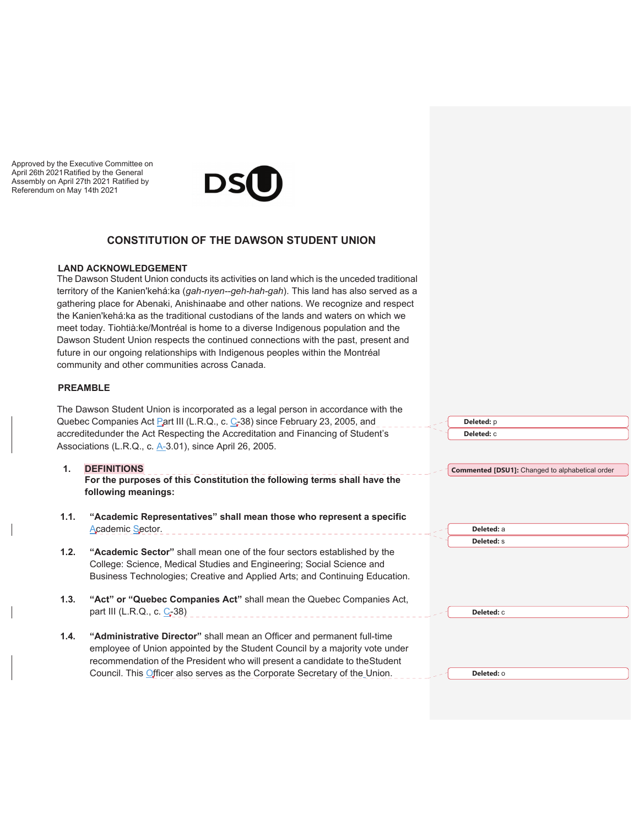Approved by the Executive Committee on April 26th 2021 Ratified by the General Assembly on April 27th 2021 Ratified by Referendum on May 14th 2021



### **CONSTITUTION OF THE DAWSON STUDENT UNION**

#### **LAND ACKNOWLEDGEMENT**

The Dawson Student Union conducts its activities on land which is the unceded traditional territory of the Kanien'kehá:ka (*gah-nyen--geh-hah-gah*). This land has also served as a gathering place for Abenaki, Anishinaabe and other nations. We recognize and respect the Kanien'kehá:ka as the traditional custodians of the lands and waters on which we meet today. Tiohtià:ke/Montréal is home to a diverse Indigenous population and the Dawson Student Union respects the continued connections with the past, present and future in our ongoing relationships with Indigenous peoples within the Montréal community and other communities across Canada.

#### **PREAMBLE**

The Dawson Student Union is incorporated as a legal person in accordance with the Quebec Companies Act Part III (L.R.Q., c. C-38) since February 23, 2005, and accredited under the Act Respecting the Accreditation and Financing of Student's Associations (L.R.Q., c. A-3.01), since April 26, 2005.

# **1. DEFINITIONS**

**For the purposes of this Constitution the following terms shall have the following meanings:** 

- **1.1. "Academic Representatives" shall mean those who represent a specific** Academic Sector.
- **1.2. "Academic Sector"** shall mean one of the four sectors established by the College: Science, Medical Studies and Engineering; Social Science and Business Technologies; Creative and Applied Arts; and Continuing Education.
- **1.3. "Act" or "Quebec Companies Act"** shall mean the Quebec Companies Act, part III (L.R.Q., c. C-38)
- **1.4. "Administrative Director"** shall mean an Officer and permanent full-time employee of Union appointed by the Student Council by a majority vote under recommendation of the President who will present a candidate to the Student Council. This *Officer also serves as the Corporate Secretary of the Union.*

**Deleted:** p **Deleted:** c **Commented [DSU1]:** Changed to alphabetical order **Deleted:** a **Deleted:** s **Deleted:** c **Deleted:** o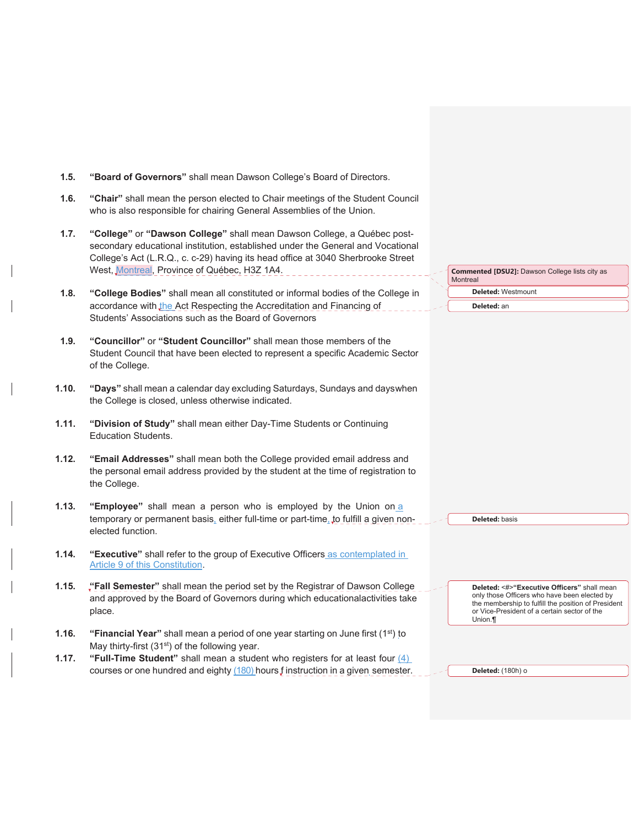| 1.5.  | "Board of Governors" shall mean Dawson College's Board of Directors.                                                                                                                                                                                                                           |                                                                                                                                                                                                               |
|-------|------------------------------------------------------------------------------------------------------------------------------------------------------------------------------------------------------------------------------------------------------------------------------------------------|---------------------------------------------------------------------------------------------------------------------------------------------------------------------------------------------------------------|
| 1.6.  | "Chair" shall mean the person elected to Chair meetings of the Student Council<br>who is also responsible for chairing General Assemblies of the Union.                                                                                                                                        |                                                                                                                                                                                                               |
| 1.7.  | "College" or "Dawson College" shall mean Dawson College, a Québec post-<br>secondary educational institution, established under the General and Vocational<br>College's Act (L.R.Q., c. c-29) having its head office at 3040 Sherbrooke Street<br>West, Montreal, Province of Québec, H3Z 1A4. | <b>Commented [DSU2]: Dawson College lists city as</b><br><b>Montreal</b>                                                                                                                                      |
| 1.8.  | "College Bodies" shall mean all constituted or informal bodies of the College in<br>accordance with the Act Respecting the Accreditation and Financing of<br>Students' Associations such as the Board of Governors                                                                             | Deleted: Westmount<br>Deleted: an                                                                                                                                                                             |
| 1.9.  | "Councillor" or "Student Councillor" shall mean those members of the<br>Student Council that have been elected to represent a specific Academic Sector<br>of the College.                                                                                                                      |                                                                                                                                                                                                               |
| 1.10. | "Days" shall mean a calendar day excluding Saturdays, Sundays and dayswhen<br>the College is closed, unless otherwise indicated.                                                                                                                                                               |                                                                                                                                                                                                               |
| 1.11. | "Division of Study" shall mean either Day-Time Students or Continuing<br><b>Education Students.</b>                                                                                                                                                                                            |                                                                                                                                                                                                               |
| 1.12. | "Email Addresses" shall mean both the College provided email address and<br>the personal email address provided by the student at the time of registration to<br>the College.                                                                                                                  |                                                                                                                                                                                                               |
| 1.13. | "Employee" shall mean a person who is employed by the Union on a<br>temporary or permanent basis, either full-time or part-time, to fulfill a given non-<br>elected function.                                                                                                                  | Deleted: basis                                                                                                                                                                                                |
| 1.14. | "Executive" shall refer to the group of Executive Officers as contemplated in<br>Article 9 of this Constitution.                                                                                                                                                                               |                                                                                                                                                                                                               |
| 1.15. | "Fall Semester" shall mean the period set by the Registrar of Dawson College<br>and approved by the Board of Governors during which educationalactivities take<br>place.                                                                                                                       | Deleted: <#>"Executive Officers" shall mean<br>only those Officers who have been elected by<br>the membership to fulfill the position of President<br>or Vice-President of a certain sector of the<br>Union.¶ |
| 1.16. | "Financial Year" shall mean a period of one year starting on June first (1st) to<br>May thirty-first (31 <sup>st</sup> ) of the following year.                                                                                                                                                |                                                                                                                                                                                                               |
| 1.17. | "Full-Time Student" shall mean a student who registers for at least four $(4)$<br>courses or one hundred and eighty (180) hours f instruction in a given semester.                                                                                                                             | Deleted: (180h) o                                                                                                                                                                                             |

 $\perp$ 

 $\overline{\phantom{a}}$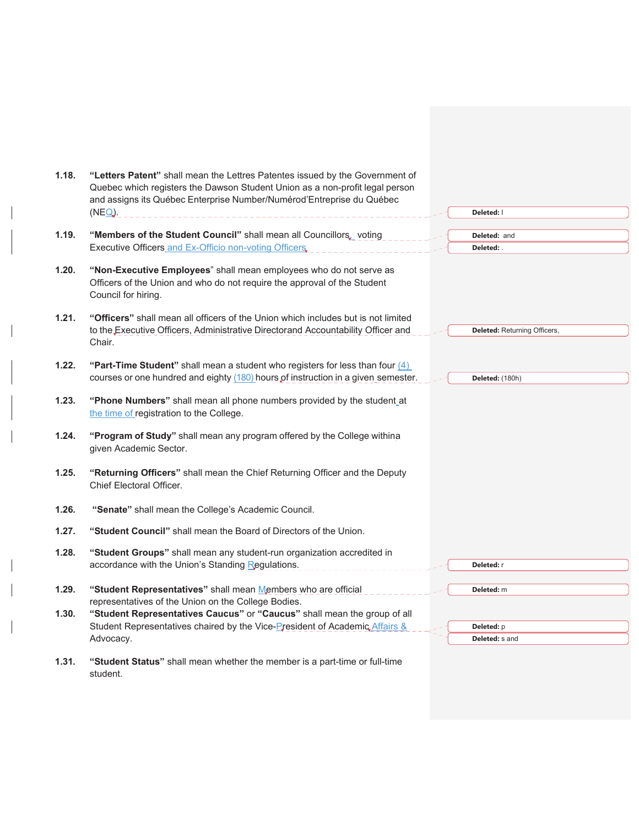| 1.18. | "Letters Patent" shall mean the Lettres Patentes issued by the Government of<br>Quebec which registers the Dawson Student Union as a non-profit legal person<br>and assigns its Québec Enterprise Number/Numérod'Entreprise du Québec<br>$(NEQ)$ . | Deleted: I                          |  |
|-------|----------------------------------------------------------------------------------------------------------------------------------------------------------------------------------------------------------------------------------------------------|-------------------------------------|--|
| 1.19. | "Members of the Student Council" shall mean all Councillors, voting<br>Executive Officers and Ex-Officio non-voting Officers.                                                                                                                      | Deleted: and<br>Deleted: .          |  |
| 1.20. | "Non-Executive Employees" shall mean employees who do not serve as<br>Officers of the Union and who do not require the approval of the Student<br>Council for hiring.                                                                              |                                     |  |
| 1.21. | "Officers" shall mean all officers of the Union which includes but is not limited<br>to the Executive Officers, Administrative Directorand Accountability Officer and<br>Chair.                                                                    | <b>Deleted: Returning Officers,</b> |  |
| 1.22. | "Part-Time Student" shall mean a student who registers for less than four $(4)$<br>courses or one hundred and eighty (180) hours of instruction in a given semester.                                                                               | Deleted: (180h)                     |  |
| 1.23. | "Phone Numbers" shall mean all phone numbers provided by the student_at<br>the time of registration to the College.                                                                                                                                |                                     |  |
| 1.24. | "Program of Study" shall mean any program offered by the College withina<br>given Academic Sector.                                                                                                                                                 |                                     |  |
| 1.25. | "Returning Officers" shall mean the Chief Returning Officer and the Deputy<br>Chief Electoral Officer.                                                                                                                                             |                                     |  |
| 1.26. | "Senate" shall mean the College's Academic Council.                                                                                                                                                                                                |                                     |  |
| 1.27. | "Student Council" shall mean the Board of Directors of the Union.                                                                                                                                                                                  |                                     |  |
| 1.28. | "Student Groups" shall mean any student-run organization accredited in<br>accordance with the Union's Standing Regulations.                                                                                                                        | Deleted: r                          |  |
| 1.29. | "Student Representatives" shall mean Members who are official                                                                                                                                                                                      | Deleted: m                          |  |
| 1.30. | representatives of the Union on the College Bodies.<br>"Student Representatives Caucus" or "Caucus" shall mean the group of all                                                                                                                    |                                     |  |
|       | Student Representatives chaired by the Vice-President of Academic Affairs &                                                                                                                                                                        | Deleted: p                          |  |
|       | Advocacy.                                                                                                                                                                                                                                          | Deleted: s and                      |  |
| 1.31. | "Student Status" shall mean whether the member is a part-time or full-time<br>student.                                                                                                                                                             |                                     |  |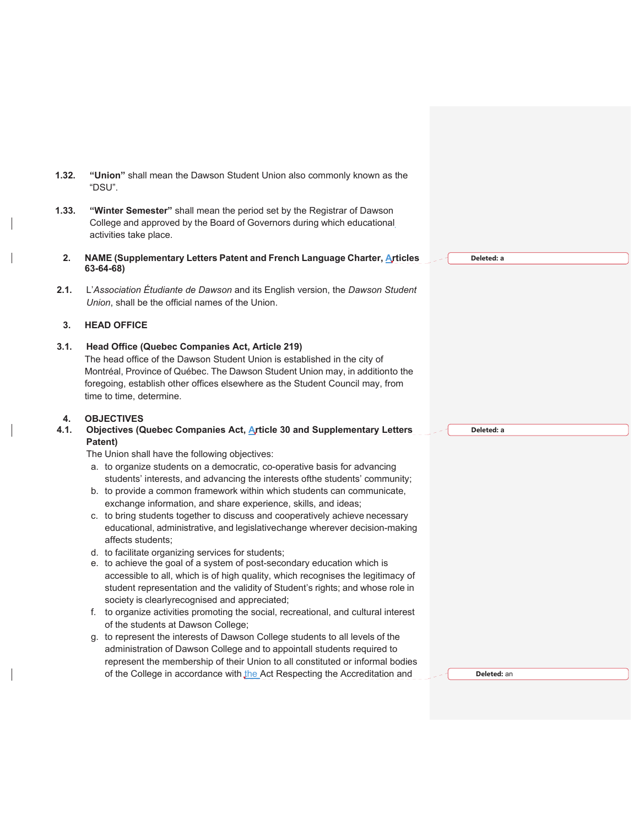| 1.32.      | "Union" shall mean the Dawson Student Union also commonly known as the<br>"DSU".                                                                                                                                                                                                               |            |
|------------|------------------------------------------------------------------------------------------------------------------------------------------------------------------------------------------------------------------------------------------------------------------------------------------------|------------|
| 1.33.      | "Winter Semester" shall mean the period set by the Registrar of Dawson<br>College and approved by the Board of Governors during which educational<br>activities take place.                                                                                                                    |            |
| 2.         | NAME (Supplementary Letters Patent and French Language Charter, Articles<br>$63 - 64 - 68$                                                                                                                                                                                                     | Deleted: a |
| 2.1.       | L'Association Étudiante de Dawson and its English version, the Dawson Student<br>Union, shall be the official names of the Union.                                                                                                                                                              |            |
| 3.         | <b>HEAD OFFICE</b>                                                                                                                                                                                                                                                                             |            |
| 3.1.       | Head Office (Quebec Companies Act, Article 219)<br>The head office of the Dawson Student Union is established in the city of<br>Montréal, Province of Québec. The Dawson Student Union may, in additionto the<br>foregoing, establish other offices elsewhere as the Student Council may, from |            |
|            | time to time, determine.                                                                                                                                                                                                                                                                       |            |
| 4.<br>4.1. | <b>OBJECTIVES</b><br>Objectives (Quebec Companies Act, Article 30 and Supplementary Letters                                                                                                                                                                                                    | Deleted: a |
|            | Patent)<br>The Union shall have the following objectives:                                                                                                                                                                                                                                      |            |
|            | a. to organize students on a democratic, co-operative basis for advancing                                                                                                                                                                                                                      |            |
|            | students' interests, and advancing the interests ofthe students' community;                                                                                                                                                                                                                    |            |
|            | b. to provide a common framework within which students can communicate,                                                                                                                                                                                                                        |            |
|            | exchange information, and share experience, skills, and ideas;<br>c. to bring students together to discuss and cooperatively achieve necessary<br>educational, administrative, and legislativechange wherever decision-making                                                                  |            |
|            | affects students;<br>d. to facilitate organizing services for students;                                                                                                                                                                                                                        |            |
|            | e. to achieve the goal of a system of post-secondary education which is<br>accessible to all, which is of high quality, which recognises the legitimacy of<br>student representation and the validity of Student's rights; and whose role in                                                   |            |
|            | society is clearlyrecognised and appreciated;                                                                                                                                                                                                                                                  |            |
|            | f. to organize activities promoting the social, recreational, and cultural interest<br>of the students at Dawson College;                                                                                                                                                                      |            |
|            | g. to represent the interests of Dawson College students to all levels of the<br>administration of Dawson College and to appointall students required to<br>represent the membership of their Union to all constituted or informal bodies                                                      |            |

 $\mathsf{l}$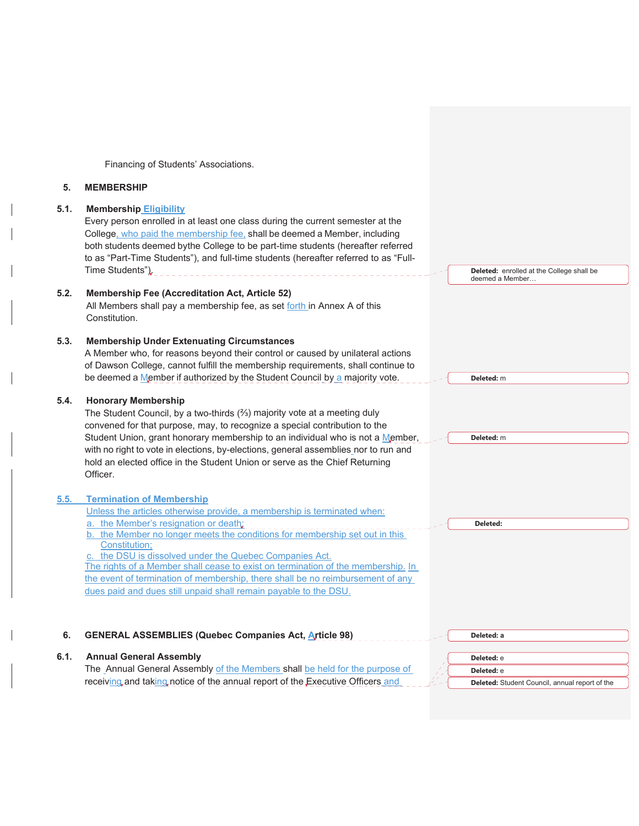Financing of Students' Associations.

#### **5. MEMBERSHIP**

#### **5.1. Membership Eligibility**

Every person enrolled in at least one class during the current semester at the College, who paid the membership fee, shall be deemed a Member, including both students deemed by the College to be part-time students (hereafter referred to as "Part-Time Students"), and full-time students (hereafter referred to as "Full-Time Students")<sub> $k$ --------------------------------</sub>

## **5.2. Membership Fee (Accreditation Act, Article 52)**

All Members shall pay a membership fee, as set forth in Annex A of this Constitution.

#### **5.3. Membership Under Extenuating Circumstances**

A Member who, for reasons beyond their control or caused by unilateral actions of Dawson College, cannot fulfill the membership requirements, shall continue to be deemed a Member if authorized by the Student Council by a majority vote.

#### **5.4. Honorary Membership**

The Student Council, by a two-thirds (%) majority vote at a meeting duly convened for that purpose, may, to recognize a special contribution to the Student Union, grant honorary membership to an individual who is not a Member, with no right to vote in elections, by-elections, general assemblies nor to run and hold an elected office in the Student Union or serve as the Chief Returning Officer.

## **5.5. Termination of Membership**

| Unless the articles otherwise provide, a membership is terminated when:          |          |  |
|----------------------------------------------------------------------------------|----------|--|
| a. the Member's resignation or death;                                            | Deleted: |  |
| b. the Member no longer meets the conditions for membership set out in this      |          |  |
| Constitution:                                                                    |          |  |
| c. the DSU is dissolved under the Quebec Companies Act.                          |          |  |
| The rights of a Member shall cease to exist on termination of the membership. In |          |  |
| the event of termination of membership, there shall be no reimbursement of any   |          |  |
| dues paid and dues still unpaid shall remain payable to the DSU.                 |          |  |
|                                                                                  |          |  |

**Deleted:** enrolled at the College shall be

deemed a Member…

**Deleted:** m

**Deleted:** m

#### **6. GENERAL ASSEMBLIES (Quebec Companies Act, Article 98) 6.1. Annual General Assembly**  The Annual General Assembly of the Members shall be held for the purpose of receiving and taking notice of the annual report of the Executive Officers and **Deleted: a Deleted:** e **Deleted:** e **Deleted:** Student Council, annual report of the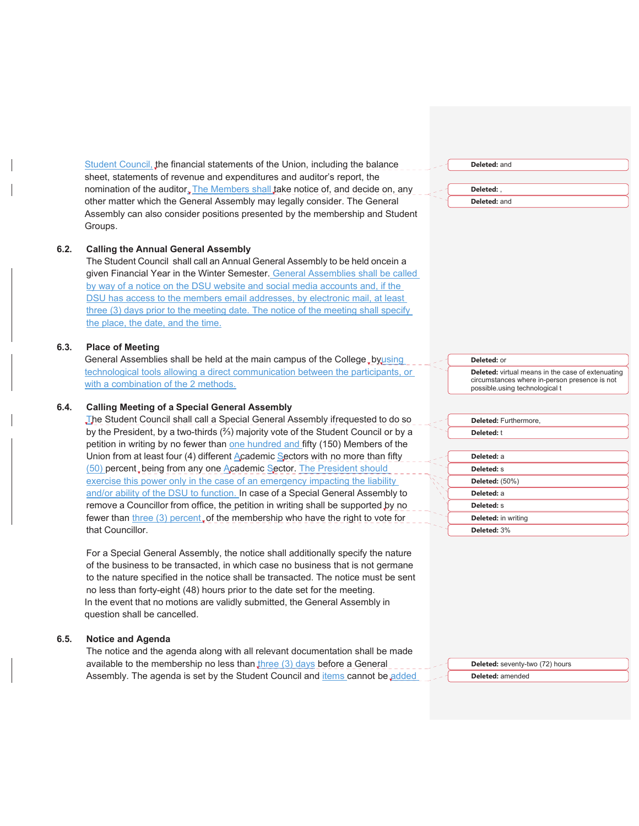Student Council, the financial statements of the Union, including the balance sheet, statements of revenue and expenditures and auditor's report, the nomination of the auditor. The Members shall take notice of, and decide on, any other matter which the General Assembly may legally consider. The General Assembly can also consider positions presented by the membership and Student Groups.

#### **6.2. Calling the Annual General Assembly**

The Student Council shall call an Annual General Assembly to be held oncein a given Financial Year in the Winter Semester. General Assemblies shall be called by way of a notice on the DSU website and social media accounts and, if the DSU has access to the members email addresses, by electronic mail, at least three (3) days prior to the meeting date. The notice of the meeting shall specify the place, the date, and the time.

#### **6.3. Place of Meeting**

General Assemblies shall be held at the main campus of the College, by using technological tools allowing a direct communication between the participants, or with a combination of the 2 methods.

#### **6.4. Calling Meeting of a Special General Assembly**

The Student Council shall call a Special General Assembly if requested to do so by the President, by a two-thirds  $(2/3)$  majority vote of the Student Council or by a petition in writing by no fewer than one hundred and fifty (150) Members of the Union from at least four (4) different Academic Sectors with no more than fifty (50) percent, being from any one Academic Sector. The President should exercise this power only in the case of an emergency impacting the liability and/or ability of the DSU to function. In case of a Special General Assembly to remove a Councillor from office, the petition in writing shall be supported by no fewer than three  $(3)$  percent, of the membership who have the right to vote for that Councillor.

For a Special General Assembly, the notice shall additionally specify the nature of the business to be transacted, in which case no business that is not germane to the nature specified in the notice shall be transacted. The notice must be sent no less than forty-eight (48) hours prior to the date set for the meeting. In the event that no motions are validly submitted, the General Assembly in question shall be cancelled.

#### **6.5. Notice and Agenda**

The notice and the agenda along with all relevant documentation shall be made available to the membership no less than three  $(3)$  days before a General Assembly. The agenda is set by the Student Council and *items* cannot be added **Deleted:** and

**Deleted:** , **Deleted:** and

**Deleted:** virtual means in the case of extenuating circumstances where in-person presence is not possible.using technological t

## **Deleted:** Furthermore, **Deleted:** t **Deleted:** a **Deleted:** s **Deleted:** (50%) **Deleted:** a

**Deleted:** in writing **Deleted:** 3%

**Deleted:** s

**Deleted:** or

**Deleted:** seventy-two (72) hours **Deleted:** amended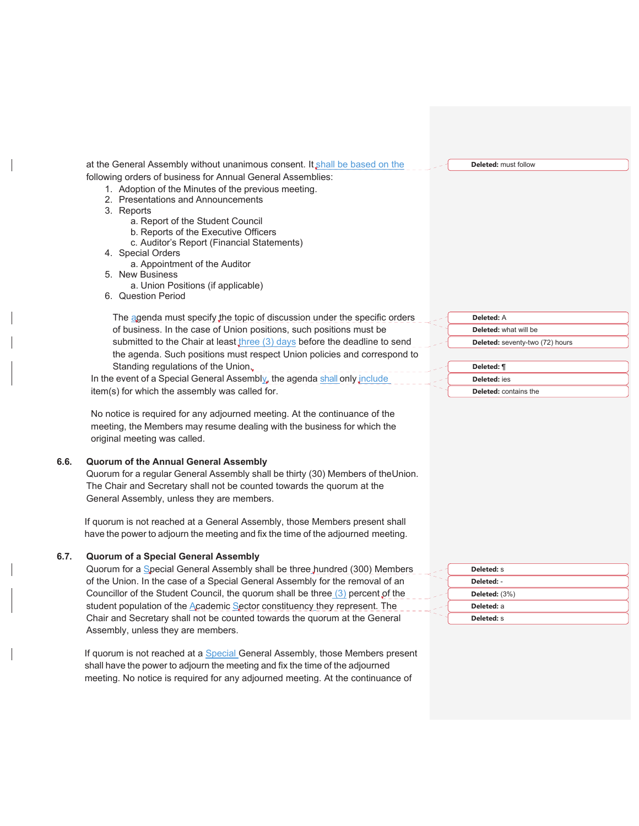at the General Assembly without unanimous consent. It shall be based on the following orders of business for Annual General Assemblies:

1. Adoption of the Minutes of the previous meeting.

- 2. Presentations and Announcements
- 3. Reports
	- a. Report of the Student Council
	- b. Reports of the Executive Officers
	- c. Auditor's Report (Financial Statements)
- 4. Special Orders
	- a. Appointment of the Auditor
- 5. New Business
	- a. Union Positions (if applicable)
- 6. Question Period

The agenda must specify the topic of discussion under the specific orders of business. In the case of Union positions, such positions must be submitted to the Chair at least three (3) days before the deadline to send the agenda. Such positions must respect Union policies and correspond to Standing regulations of the Union. In the event of a Special General Assembly, the agenda shall only include

item(s) for which the assembly was called for.

No notice is required for any adjourned meeting. At the continuance of the meeting, the Members may resume dealing with the business for which the original meeting was called.

#### **6.6. Quorum of the Annual General Assembly**

Quorum for a regular General Assembly shall be thirty (30) Members of the Union. The Chair and Secretary shall not be counted towards the quorum at the General Assembly, unless they are members.

If quorum is not reached at a General Assembly, those Members present shall have the power to adjourn the meeting and fix the time of the adjourned meeting.

#### **6.7. Quorum of a Special General Assembly**

Quorum for a Special General Assembly shall be three hundred (300) Members of the Union. In the case of a Special General Assembly for the removal of an Councillor of the Student Council, the quorum shall be three (3) percent of the student population of the Academic Sector constituency they represent. The Chair and Secretary shall not be counted towards the quorum at the General Assembly, unless they are members.

If quorum is not reached at a **Special General Assembly, those Members present** shall have the power to adjourn the meeting and fix the time of the adjourned meeting. No notice is required for any adjourned meeting. At the continuance of





**Deleted:** must follow

**Deleted:** s **Deleted:** - **Deleted:** (3%) **Deleted:** a **Deleted:** s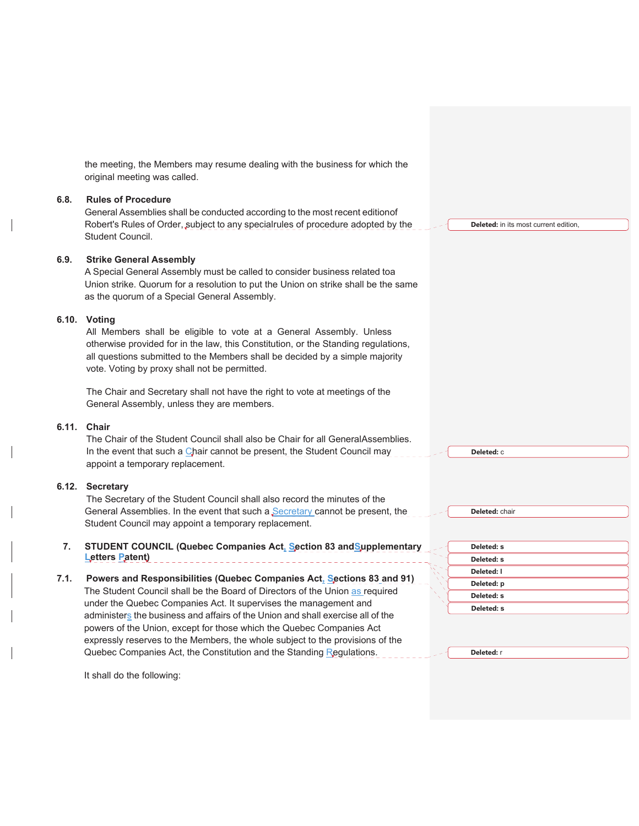|      | the meeting, the Members may resume dealing with the business for which the<br>original meeting was called.                                                                                                                                                                                                   |                                                      |  |
|------|---------------------------------------------------------------------------------------------------------------------------------------------------------------------------------------------------------------------------------------------------------------------------------------------------------------|------------------------------------------------------|--|
| 6.8. | <b>Rules of Procedure</b><br>General Assemblies shall be conducted according to the most recent editionof<br>Robert's Rules of Order, subject to any specialrules of procedure adopted by the<br>Student Council.                                                                                             | <b>Deleted:</b> in its most current edition,         |  |
| 6.9. | <b>Strike General Assembly</b><br>A Special General Assembly must be called to consider business related toa<br>Union strike. Quorum for a resolution to put the Union on strike shall be the same<br>as the quorum of a Special General Assembly.                                                            |                                                      |  |
|      | 6.10. Voting<br>All Members shall be eligible to vote at a General Assembly. Unless<br>otherwise provided for in the law, this Constitution, or the Standing regulations,<br>all questions submitted to the Members shall be decided by a simple majority<br>vote. Voting by proxy shall not be permitted.    |                                                      |  |
|      | The Chair and Secretary shall not have the right to vote at meetings of the<br>General Assembly, unless they are members.                                                                                                                                                                                     |                                                      |  |
|      | 6.11. Chair<br>The Chair of the Student Council shall also be Chair for all GeneralAssemblies.<br>In the event that such a Chair cannot be present, the Student Council may<br>appoint a temporary replacement.                                                                                               | Deleted: C                                           |  |
|      | 6.12. Secretary<br>The Secretary of the Student Council shall also record the minutes of the<br>General Assemblies. In the event that such a Secretary cannot be present, the<br>Student Council may appoint a temporary replacement.                                                                         | Deleted: chair                                       |  |
| 7.   | STUDENT COUNCIL (Quebec Companies Act, Section 83 and Supplementary<br>Letters Patent)                                                                                                                                                                                                                        | Deleted: s<br><b>Deleted: S</b>                      |  |
| 7.1. | Powers and Responsibilities (Quebec Companies Act, Sections 83 and 91)<br>The Student Council shall be the Board of Directors of the Union as required<br>under the Quebec Companies Act. It supervises the management and<br>administers the business and affairs of the Union and shall exercise all of the | Deleted: I<br>Deleted: p<br>Deleted: s<br>Deleted: s |  |
|      | powers of the Union, except for those which the Quebec Companies Act<br>expressly reserves to the Members, the whole subject to the provisions of the<br>Quebec Companies Act, the Constitution and the Standing Regulations.                                                                                 | Deleted: r                                           |  |

It shall do the following: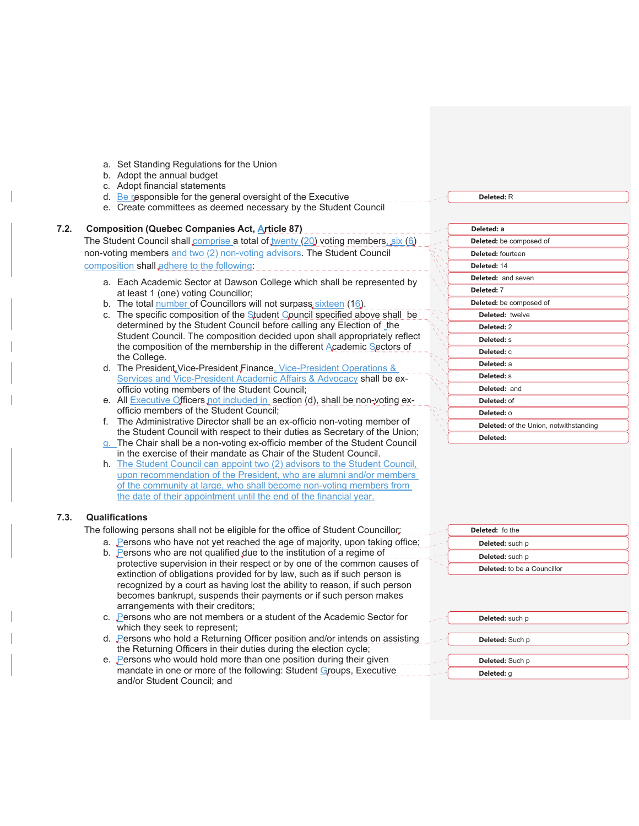- a. Set Standing Regulations for the Union
- b. Adopt the annual budget
- c. Adopt financial statements
- d. Be responsible for the general oversight of the Executive
- e. Create committees as deemed necessary by the Student Council

## **7.2. Composition (Quebec Companies Act, Article 87)**

## The Student Council shall comprise a total of twenty (20) voting members, six (6) non-voting members and two (2) non-voting advisors. The Student Council composition shall adhere to the following:

- a. Each Academic Sector at Dawson College which shall be represented by at least 1 (one) voting Councillor;
- b. The total number of Councillors will not surpass sixteen (16).
- c. The specific composition of the Student Council specified above shall be determined by the Student Council before calling any Election of the Student Council. The composition decided upon shall appropriately reflect the composition of the membership in the different Academic Sectors of the College.
- d. The President Vice-President Finance, Vice-President Operations & Services and Vice-President Academic Affairs & Advocacy shall be exofficio voting members of the Student Council;
- e. All **Executive Officers** not included in section (d), shall be non-voting exofficio members of the Student Council;
- f. The Administrative Director shall be an ex-officio non-voting member of the Student Council with respect to their duties as Secretary of the Union;
- g. The Chair shall be a non-voting ex-officio member of the Student Council in the exercise of their mandate as Chair of the Student Council.
- h. The Student Council can appoint two (2) advisors to the Student Council, upon recommendation of the President, who are alumni and/or members of the community at large, who shall become non-voting members from the date of their appointment until the end of the financial year.

#### **7.3. Qualifications**

The following persons shall not be eligible for the office of Student Councillor;

- a. Persons who have not yet reached the age of majority, upon taking office;
- b. Persons who are not qualified due to the institution of a regime of protective supervision in their respect or by one of the common causes of extinction of obligations provided for by law, such as if such person is recognized by a court as having lost the ability to reason, if such person becomes bankrupt, suspends their payments or if such person makes arrangements with their creditors;
- c. Persons who are not members or a student of the Academic Sector for which they seek to represent;
- d. Persons who hold a Returning Officer position and/or intends on assisting the Returning Officers in their duties during the election cycle;
- e. Persons who would hold more than one position during their given mandate in one or more of the following: Student Groups, Executive and/or Student Council; and

**Deleted: a Deleted:** be composed of **Deleted:** fourteen **Deleted:** 14 **Deleted:** and seven **Deleted:** 7 **Deleted:** be composed of **Deleted:** twelve **Deleted:** 2 **Deleted:** s **Deleted:** c **Deleted:** a **Deleted:** s **Deleted:** and **Deleted:** of **Deleted:** o **Deleted:** of the Union, notwithstanding **Deleted:** 

**Deleted:** fo the **Deleted:** such p **Deleted:** such p **Deleted:** to be a Councillor

| Deleted: such p |  |
|-----------------|--|
|                 |  |
| Deleted: Such p |  |
|                 |  |
| Deleted: Such p |  |

**Deleted:** g

**Deleted:** R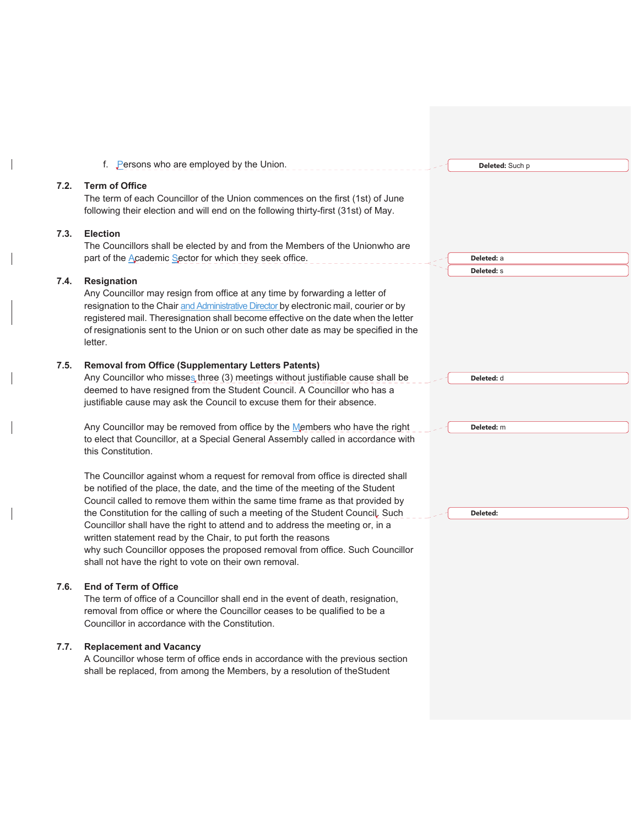|      | f. Persons who are employed by the Union.                                                                                                                                                                                                                                                                                                                                                                                                                                                                                                                                                                                         | Deleted: Such p                 |  |
|------|-----------------------------------------------------------------------------------------------------------------------------------------------------------------------------------------------------------------------------------------------------------------------------------------------------------------------------------------------------------------------------------------------------------------------------------------------------------------------------------------------------------------------------------------------------------------------------------------------------------------------------------|---------------------------------|--|
| 7.2. | <b>Term of Office</b><br>The term of each Councillor of the Union commences on the first (1st) of June<br>following their election and will end on the following thirty-first (31st) of May.                                                                                                                                                                                                                                                                                                                                                                                                                                      |                                 |  |
| 7.3. | <b>Election</b><br>The Councillors shall be elected by and from the Members of the Unionwho are<br>part of the Academic Sector for which they seek office.                                                                                                                                                                                                                                                                                                                                                                                                                                                                        | Deleted: a<br><b>Deleted: S</b> |  |
| 7.4. | Resignation<br>Any Councillor may resign from office at any time by forwarding a letter of<br>resignation to the Chair and Administrative Director by electronic mail, courier or by<br>registered mail. Theresignation shall become effective on the date when the letter<br>of resignationis sent to the Union or on such other date as may be specified in the<br>letter.                                                                                                                                                                                                                                                      |                                 |  |
| 7.5. | <b>Removal from Office (Supplementary Letters Patents)</b><br>Any Councillor who misses three (3) meetings without justifiable cause shall be<br>deemed to have resigned from the Student Council. A Councillor who has a<br>justifiable cause may ask the Council to excuse them for their absence.                                                                                                                                                                                                                                                                                                                              | Deleted: d                      |  |
|      | Any Councillor may be removed from office by the Members who have the right<br>to elect that Councillor, at a Special General Assembly called in accordance with<br>this Constitution.                                                                                                                                                                                                                                                                                                                                                                                                                                            | Deleted: m                      |  |
|      | The Councillor against whom a request for removal from office is directed shall<br>be notified of the place, the date, and the time of the meeting of the Student<br>Council called to remove them within the same time frame as that provided by<br>the Constitution for the calling of such a meeting of the Student Council. Such<br>Councillor shall have the right to attend and to address the meeting or, in a<br>written statement read by the Chair, to put forth the reasons<br>why such Councillor opposes the proposed removal from office. Such Councillor<br>shall not have the right to vote on their own removal. | Deleted:                        |  |
| 7.6. | <b>End of Term of Office</b><br>The term of office of a Councillor shall end in the event of death, resignation,<br>removal from office or where the Councillor ceases to be qualified to be a<br>Councillor in accordance with the Constitution.                                                                                                                                                                                                                                                                                                                                                                                 |                                 |  |
| 7.7. | <b>Replacement and Vacancy</b><br>A Councillor whose term of office ends in accordance with the previous section<br>shall be replaced, from among the Members, by a resolution of the Student                                                                                                                                                                                                                                                                                                                                                                                                                                     |                                 |  |

 $\overline{\phantom{a}}$ 

 $\overline{\phantom{a}}$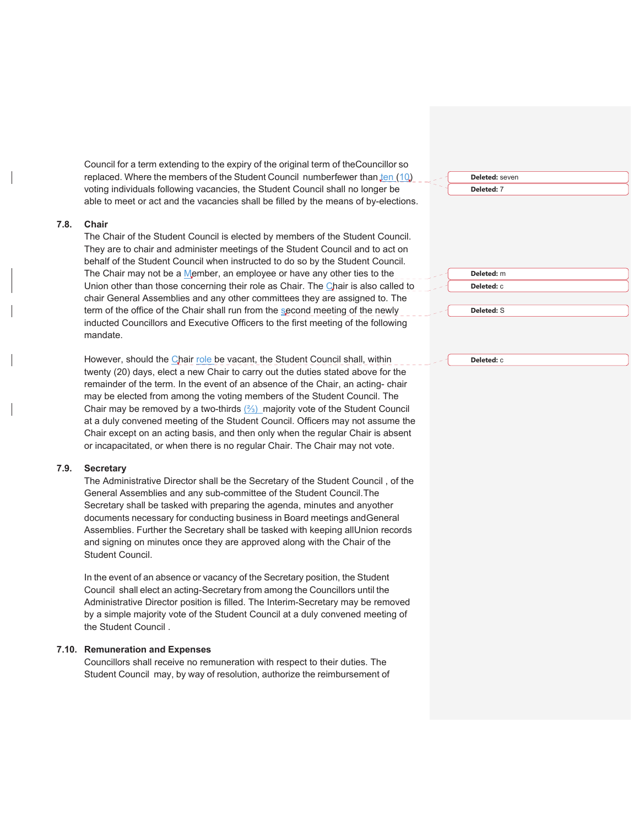Council for a term extending to the expiry of the original term of the Councillor so replaced. Where the members of the Student Council numberfewer than ten (10) voting individuals following vacancies, the Student Council shall no longer be able to meet or act and the vacancies shall be filled by the means of by-elections.

#### **7.8. Chair**

The Chair of the Student Council is elected by members of the Student Council. They are to chair and administer meetings of the Student Council and to act on behalf of the Student Council when instructed to do so by the Student Council. The Chair may not be a Member, an employee or have any other ties to the Union other than those concerning their role as Chair. The Chair is also called to chair General Assemblies and any other committees they are assigned to. The term of the office of the Chair shall run from the second meeting of the newly inducted Councillors and Executive Officers to the first meeting of the following mandate.

However, should the Chair role be vacant, the Student Council shall, within twenty (20) days, elect a new Chair to carry out the duties stated above for the remainder of the term. In the event of an absence of the Chair, an acting- chair may be elected from among the voting members of the Student Council. The Chair may be removed by a two-thirds  $(2/3)$  majority vote of the Student Council at a duly convened meeting of the Student Council. Officers may not assume the Chair except on an acting basis, and then only when the regular Chair is absent or incapacitated, or when there is no regular Chair. The Chair may not vote.

#### **7.9. Secretary**

The Administrative Director shall be the Secretary of the Student Council , of the General Assemblies and any sub-committee of the Student Council. The Secretary shall be tasked with preparing the agenda, minutes and any other documents necessary for conducting business in Board meetings and General Assemblies. Further the Secretary shall be tasked with keeping all Union records and signing on minutes once they are approved along with the Chair of the Student Council.

In the event of an absence or vacancy of the Secretary position, the Student Council shall elect an acting-Secretary from among the Councillors until the Administrative Director position is filled. The Interim-Secretary may be removed by a simple majority vote of the Student Council at a duly convened meeting of the Student Council .

#### **7.10. Remuneration and Expenses**

Councillors shall receive no remuneration with respect to their duties. The Student Council may, by way of resolution, authorize the reimbursement of **Deleted:** seven **Deleted:** 7

> **Deleted:** m **Deleted:** c

**Deleted:** S

**Deleted:** c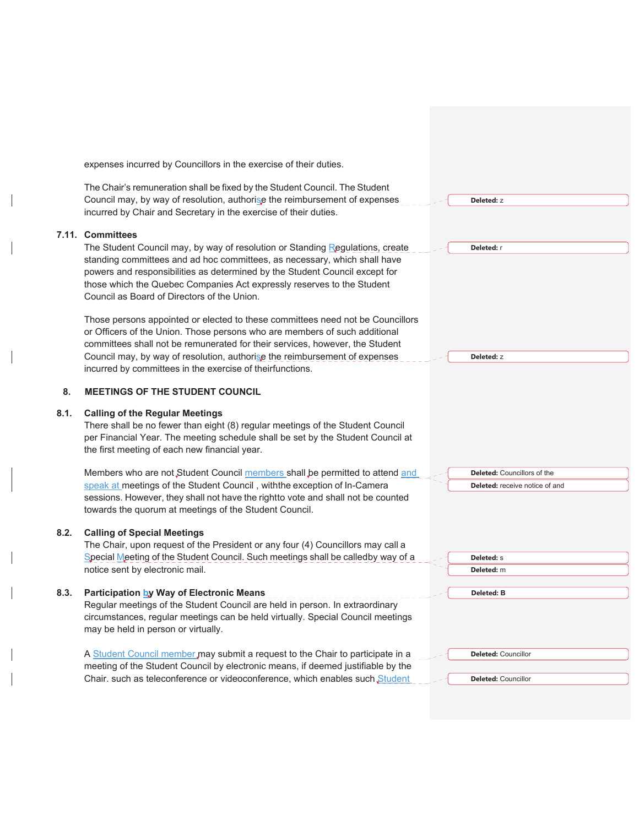expenses incurred by Councillors in the exercise of their duties. The Chair's remuneration shall be fixed by the Student Council. The Student Council may, by way of resolution, authorise the reimbursement of expenses incurred by Chair and Secretary in the exercise of their duties. **7.11. Committees**  The Student Council may, by way of resolution or Standing Regulations, create standing committees and ad hoc committees, as necessary, which shall have powers and responsibilities as determined by the Student Council except for those which the Quebec Companies Act expressly reserves to the Student Council as Board of Directors of the Union. Those persons appointed or elected to these committees need not be Councillors or Officers of the Union. Those persons who are members of such additional committees shall not be remunerated for their services, however, the Student Council may, by way of resolution, authorise the reimbursement of expenses incurred by committees in the exercise of theirfunctions. **8. MEETINGS OF THE STUDENT COUNCIL 8.1. Calling of the Regular Meetings**  There shall be no fewer than eight (8) regular meetings of the Student Council per Financial Year. The meeting schedule shall be set by the Student Council at the first meeting of each new financial year. Members who are not Student Council members shall be permitted to attend and speak at meetings of the Student Council, with the exception of In-Camera sessions. However, they shall not have the rightto vote and shall not be counted towards the quorum at meetings of the Student Council. **8.2. Calling of Special Meetings**  The Chair, upon request of the President or any four (4) Councillors may call a Special Meeting of the Student Council. Such meetings shall be calledby way of a notice sent by electronic mail. **8.3. Participation by Way of Electronic Means**  Regular meetings of the Student Council are held in person. In extraordinary circumstances, regular meetings can be held virtually. Special Council meetings may be held in person or virtually. A Student Council member may submit a request to the Chair to participate in a meeting of the Student Council by electronic means, if deemed justifiable by the Chair. such as teleconference or videoconference, which enables such Student **Deleted:** z **Deleted:** r **Deleted:** z **Deleted:** Councillors of the **Deleted:** receive notice of and **Deleted:** s **Deleted:** m **Deleted: B Deleted:** Councillor **Deleted:** Councillor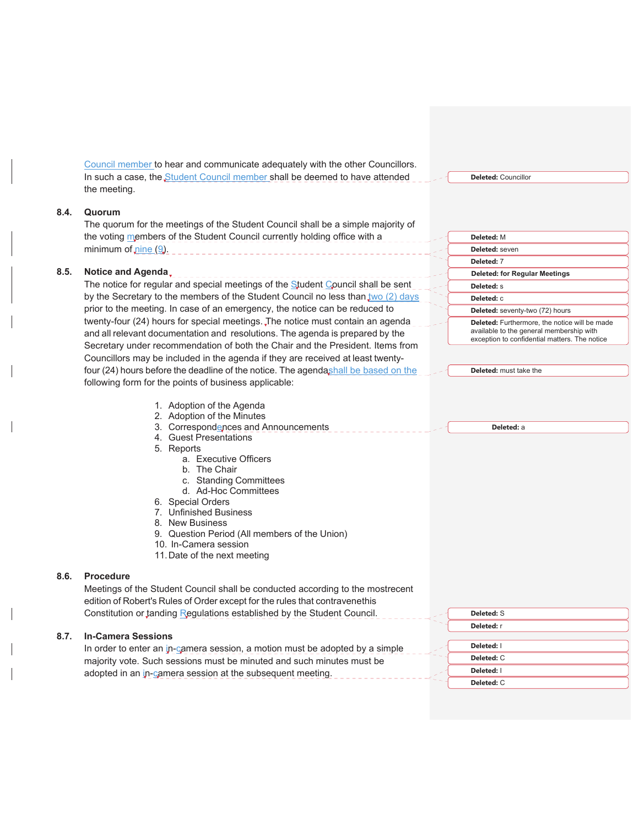Council member to hear and communicate adequately with the other Councillors. In such a case, the Student Council member shall be deemed to have attended the meeting.

#### **8.4. Quorum**

The quorum for the meetings of the Student Council shall be a simple majority of the voting members of the Student Council currently holding office with a minimum of nine (9).

## **8.5. Notice and Agenda**

The notice for regular and special meetings of the Student Council shall be sent by the Secretary to the members of the Student Council no less than  $\frac{1}{100}$  (2) days prior to the meeting. In case of an emergency, the notice can be reduced to twenty-four (24) hours for special meetings. The notice must contain an agenda and all relevant documentation and resolutions. The agenda is prepared by the Secretary under recommendation of both the Chair and the President. Items from Councillors may be included in the agenda if they are received at least twentyfour (24) hours before the deadline of the notice. The agendashall be based on the following form for the points of business applicable:

**Deleted:** M **Deleted:** seven

**Deleted:** 7 **Deleted: for Regular Meetings**

**Deleted:** Councillor

**Deleted:** s **Deleted:** c

**Deleted:** seventy-two (72) hours

**Deleted:** Furthermore, the notice will be made available to the general membership with exception to confidential matters. The notice

**Deleted:** must take the

**Deleted:** a

**Deleted:** S **Deleted:** r

- 1. Adoption of the Agenda
- 2. Adoption of the Minutes
- 3. Correspondences and Announcements
- 4. Guest Presentations
- 5. Reports
	- a. Executive Officers
	- b. The Chair
	- c. Standing Committees
	- d. Ad-Hoc Committees
- 6. Special Orders
- 7. Unfinished Business
- 8. New Business
- 9. Question Period (All members of the Union)
- 10. In-Camera session
- 11. Date of the next meeting

#### **8.6. Procedure**

Meetings of the Student Council shall be conducted according to the mostrecent edition of Robert's Rules of Order except for the rules that contravenethis Constitution or tanding Regulations established by the Student Council.

#### **8.7. In-Camera Sessions**

| In order to enter an in-camera session, a motion must be adopted by a simple | Deleted: I        |
|------------------------------------------------------------------------------|-------------------|
| majority vote. Such sessions must be minuted and such minutes must be        | <b>Deleted:</b> C |
| adopted in an in-camera session at the subsequent meeting.                   | Deleted: I        |
|                                                                              | Deleted: C        |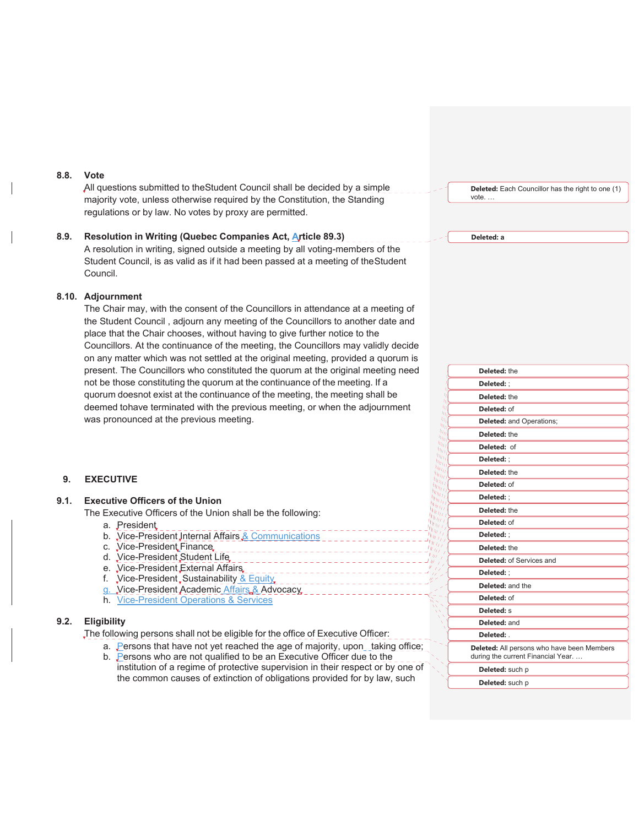#### **8.8. Vote**

All questions submitted to the Student Council shall be decided by a simple majority vote, unless otherwise required by the Constitution, the Standing regulations or by law. No votes by proxy are permitted.

# **8.9. Resolution in Writing (Quebec Companies Act, Article 89.3)**

A resolution in writing, signed outside a meeting by all voting-members of the Student Council, is as valid as if it had been passed at a meeting of the Student Council.

#### **8.10. Adjournment**

The Chair may, with the consent of the Councillors in attendance at a meeting of the Student Council , adjourn any meeting of the Councillors to another date and place that the Chair chooses, without having to give further notice to the Councillors. At the continuance of the meeting, the Councillors may validly decide on any matter which was not settled at the original meeting, provided a quorum is present. The Councillors who constituted the quorum at the original meeting need not be those constituting the quorum at the continuance of the meeting. If a quorum doesnot exist at the continuance of the meeting, the meeting shall be deemed tohave terminated with the previous meeting, or when the adjournment was pronounced at the previous meeting.

#### **9. EXECUTIVE**

## **9.1. Executive Officers of the Union**

The Executive Officers of the Union shall be the following:

- a. President
- b. Vice-President Internal Affairs & Communications
- c. Vice-President Finance
- d. Vice-President Student Life
- e. Vice-President External Affairs
- f. Vice-President, Sustainability & Equity.
- g. Vice-President Academic Affairs & Advocacy
- h. Vice-President Operations & Services

#### **9.2. Eligibility**

The following persons shall not be eligible for the office of Executive Officer:

- a. Persons that have not yet reached the age of majority, upon\_taking office;
- b. Persons who are not qualified to be an Executive Officer due to the institution of a regime of protective supervision in their respect or by one of the common causes of extinction of obligations provided for by law, such

**Deleted:** Each Councillor has the right to one (1) vote. …

#### **Deleted: a**

|                                       | Deleted: the                                                                    |
|---------------------------------------|---------------------------------------------------------------------------------|
|                                       | Deleted: :                                                                      |
| П<br>4                                | Deleted: the                                                                    |
| hι<br>η,                              | Deleted: of                                                                     |
| 41<br>Чπ                              | <b>Deleted:</b> and Operations;                                                 |
| $u_{H}$<br>'Uu                        | Deleted: the                                                                    |
| п <sub>п</sub><br>Π <sub>Η Ι</sub>    | Deleted: of                                                                     |
| $\eta_{H_{I_f}}$<br>$\eta_{H_{IJ}}$   | Deleted: :                                                                      |
| $w_{l_1}$<br>$\mathbf{u}_{HII}$       | Deleted: the                                                                    |
| $u_{H}$<br>$\eta_{H_{I}}$             | Deleted: of                                                                     |
| 41 T T<br>$n_{11}$                    | Deleted: :                                                                      |
| $u_{II}$<br>$\eta_{IJ}$               | Deleted: the                                                                    |
| 47.7<br>$^{\prime\prime}$ $^{\prime}$ | Deleted: of                                                                     |
| $\tau_I$<br>$\eta_{\ell}$             | Deleted: :                                                                      |
| 99<br>7<br>$\overline{1}$             | Deleted: the                                                                    |
| 7                                     | <b>Deleted: of Services and</b>                                                 |
|                                       | Deleted: ;                                                                      |
|                                       | Deleted: and the                                                                |
|                                       | Deleted: of                                                                     |
|                                       | Deleted: S                                                                      |
|                                       | Deleted: and                                                                    |
|                                       | Deleted:                                                                        |
|                                       | Deleted: All persons who have been Members<br>during the current Financial Year |
|                                       | Deleted: such p                                                                 |
|                                       | Deleted: such p                                                                 |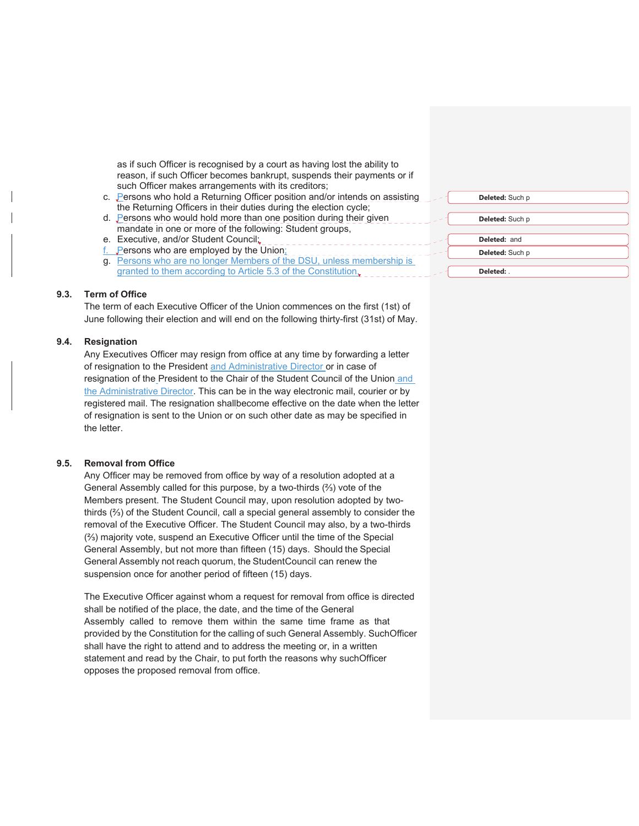as if such Officer is recognised by a court as having lost the ability to reason, if such Officer becomes bankrupt, suspends their payments or if such Officer makes arrangements with its creditors;

- c. Persons who hold a Returning Officer position and/or intends on assisting the Returning Officers in their duties during the election cycle;
- d. Persons who would hold more than one position during their given mandate in one or more of the following: Student groups,
- e. Executive, and/or Student Council;
- **Persons who are employed by the Union;**
- g. Persons who are no longer Members of the DSU, unless membership is granted to them according to Article 5.3 of the Constitution.

#### **9.3. Term of Office**

The term of each Executive Officer of the Union commences on the first (1st) of June following their election and will end on the following thirty-first (31st) of May.

#### **9.4. Resignation**

Any Executives Officer may resign from office at any time by forwarding a letter of resignation to the President and Administrative Director or in case of resignation of the President to the Chair of the Student Council of the Union and the Administrative Director. This can be in the way electronic mail, courier or by registered mail. The resignation shall become effective on the date when the letter of resignation is sent to the Union or on such other date as may be specified in the letter.

#### **9.5. Removal from Office**

Any Officer may be removed from office by way of a resolution adopted at a General Assembly called for this purpose, by a two-thirds  $(2)$  vote of the Members present. The Student Council may, upon resolution adopted by twothirds  $(2/3)$  of the Student Council, call a special general assembly to consider the removal of the Executive Officer. The Student Council may also, by a two-thirds  $(2)$  majority vote, suspend an Executive Officer until the time of the Special General Assembly, but not more than fifteen (15) days. Should the Special General Assembly not reach quorum, the Student Council can renew the suspension once for another period of fifteen (15) days.

The Executive Officer against whom a request for removal from office is directed shall be notified of the place, the date, and the time of the General Assembly called to remove them within the same time frame as that provided by the Constitution for the calling of such General Assembly. Such Officer shall have the right to attend and to address the meeting or, in a written statement and read by the Chair, to put forth the reasons why such Officer opposes the proposed removal from office.

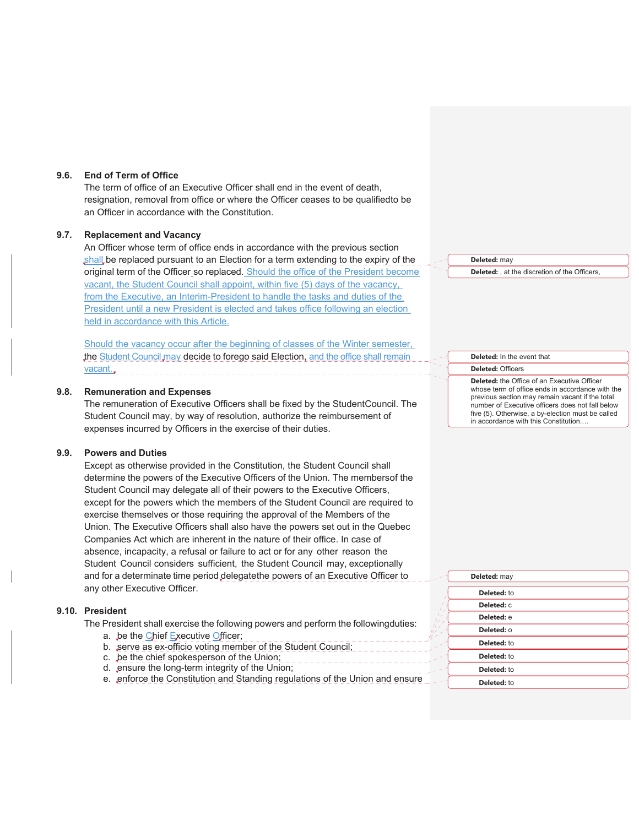#### **9.6. End of Term of Office**

The term of office of an Executive Officer shall end in the event of death, resignation, removal from office or where the Officer ceases to be qualified to be an Officer in accordance with the Constitution.

## **9.7. Replacement and Vacancy**

An Officer whose term of office ends in accordance with the previous section shall be replaced pursuant to an Election for a term extending to the expiry of the original term of the Officer so replaced. Should the office of the President become vacant, the Student Council shall appoint, within five (5) days of the vacancy, from the Executive, an Interim-President to handle the tasks and duties of the President until a new President is elected and takes office following an election held in accordance with this Article.

Should the vacancy occur after the beginning of classes of the Winter semester, the Student Council may decide to forego said Election, and the office shall remain vacant.

#### **9.8. Remuneration and Expenses**

The remuneration of Executive Officers shall be fixed by the Student Council. The Student Council may, by way of resolution, authorize the reimbursement of expenses incurred by Officers in the exercise of their duties.

#### **9.9. Powers and Duties**

Except as otherwise provided in the Constitution, the Student Council shall determine the powers of the Executive Officers of the Union. The membersof the Student Council may delegate all of their powers to the Executive Officers, except for the powers which the members of the Student Council are required to exercise themselves or those requiring the approval of the Members of the Union. The Executive Officers shall also have the powers set out in the Quebec Companies Act which are inherent in the nature of their office. In case of absence, incapacity, a refusal or failure to act or for any other reason the Student Council considers sufficient, the Student Council may, exceptionally and for a determinate time period delegate the powers of an Executive Officer to any other Executive Officer.

#### **9.10. President**

The President shall exercise the following powers and perform the following duties:

- a. be the Chief Executive Officer;
- b. serve as ex-officio voting member of the Student Council;
- c. be the chief spokesperson of the Union;
- d. ensure the long-term integrity of the Union;
- e. enforce the Constitution and Standing regulations of the Union and ensure

**Deleted:** , at the discretion of the Officers,

#### **Deleted:** In the event that

**Deleted:** Officers

**Deleted:** may

**Deleted:** the Office of an Executive Officer whose term of office ends in accordance with the previous section may remain vacant if the total number of Executive officers does not fall below five (5). Otherwise, a by-election must be called in accordance with this Constitution.…

| Deleted: may |  |
|--------------|--|
| Deleted: to  |  |
| Deleted: C   |  |
| Deleted: e   |  |
| Deleted: 0   |  |
| Deleted: to  |  |
| Deleted: to  |  |
| Deleted: to  |  |
| Deleted: to  |  |
|              |  |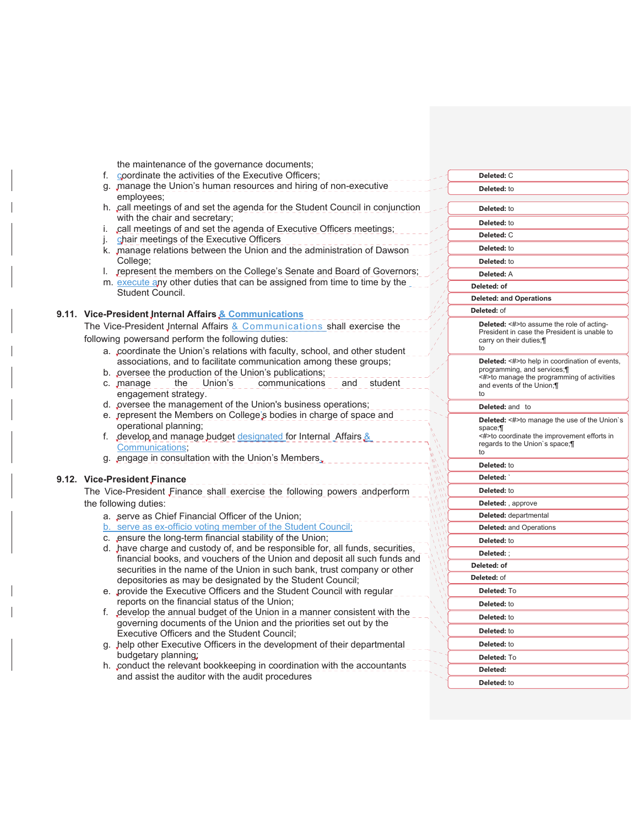|                              | the maintenance of the governance documents;                                                                                                               |                                                                         |
|------------------------------|------------------------------------------------------------------------------------------------------------------------------------------------------------|-------------------------------------------------------------------------|
| f.                           | coordinate the activities of the Executive Officers;                                                                                                       | Deleted: C                                                              |
| employees;                   | g. manage the Union's human resources and hiring of non-executive                                                                                          | Deleted: to                                                             |
|                              | h. call meetings of and set the agenda for the Student Council in conjunction<br>with the chair and secretary;                                             | Deleted: to                                                             |
|                              | i. call meetings of and set the agenda of Executive Officers meetings;                                                                                     | Deleted: to                                                             |
|                              | chair meetings of the Executive Officers                                                                                                                   | Deleted: C                                                              |
|                              | k. manage relations between the Union and the administration of Dawson                                                                                     | Deleted: to                                                             |
| College;                     |                                                                                                                                                            | Deleted: to                                                             |
|                              | I. represent the members on the College's Senate and Board of Governors;                                                                                   | Deleted: A                                                              |
|                              | m. execute any other duties that can be assigned from time to time by the                                                                                  | Deleted: of                                                             |
|                              | Student Council.                                                                                                                                           | <b>Deleted: and Operations</b>                                          |
|                              | 9.11. Vice-President Internal Affairs & Communications                                                                                                     | Deleted: of                                                             |
|                              | The Vice-President Internal Affairs & Communications shall exercise the                                                                                    | <b>Deleted:</b> <#>to assume the role of acting-                        |
|                              | following powersand perform the following duties:                                                                                                          | President in case the President is unable to<br>carry on their duties;  |
|                              | a. coordinate the Union's relations with faculty, school, and other student                                                                                | to                                                                      |
|                              | associations, and to facilitate communication among these groups;                                                                                          | <b>Deleted:</b> <#>to help in coordination of events,                   |
|                              | b. pversee the production of the Union's publications;                                                                                                     | programming, and services;                                              |
| c. manage                    | Union's<br>communications<br>the<br>and student                                                                                                            | <#>to manage the programming of activities<br>and events of the Union;¶ |
|                              | engagement strategy.                                                                                                                                       | to                                                                      |
|                              | d. pversee the management of the Union's business operations;                                                                                              | Deleted: and to                                                         |
|                              | e. vepresent the Members on College's bodies in charge of space and                                                                                        | <b>Deleted:</b> <#>to manage the use of the Union's                     |
|                              | operational planning;                                                                                                                                      | space: II                                                               |
|                              | f. develop and manage budget designated for Internal Affairs &                                                                                             | <#>to coordinate the improvement efforts in                             |
|                              | Communications;                                                                                                                                            | regards to the Union's space;<br>to                                     |
|                              | g. engage in consultation with the Union's Members,                                                                                                        | Deleted: to                                                             |
|                              |                                                                                                                                                            | Deleted:                                                                |
| 9.12. Vice-President Finance |                                                                                                                                                            |                                                                         |
|                              | The Vice-President Finance shall exercise the following powers andperform                                                                                  | Deleted: to                                                             |
| the following duties:        |                                                                                                                                                            | Deleted: , approve                                                      |
|                              | a. serve as Chief Financial Officer of the Union;                                                                                                          | Deleted: departmental                                                   |
|                              | b. serve as ex-officio voting member of the Student Council;                                                                                               | <b>Deleted:</b> and Operations                                          |
|                              | c. ensure the long-term financial stability of the Union;                                                                                                  | Deleted: to                                                             |
|                              | d. have charge and custody of, and be responsible for, all funds, securities,<br>financial books, and vouchers of the Union and deposit all such funds and | Deleted:;                                                               |
|                              | securities in the name of the Union in such bank, trust company or other                                                                                   | Deleted: of                                                             |
|                              | depositories as may be designated by the Student Council;                                                                                                  | Deleted: of                                                             |
|                              | e. provide the Executive Officers and the Student Council with regular                                                                                     | Deleted: To                                                             |
|                              | reports on the financial status of the Union;                                                                                                              | Deleted: to                                                             |
|                              | f. develop the annual budget of the Union in a manner consistent with the<br>governing documents of the Union and the priorities set out by the            | Deleted: to                                                             |
|                              | Executive Officers and the Student Council;                                                                                                                | Deleted: to                                                             |
|                              | g. Jhelp other Executive Officers in the development of their departmental                                                                                 | Deleted: to                                                             |
|                              | budgetary planning;                                                                                                                                        | Deleted: To                                                             |
|                              | h. conduct the relevant bookkeeping in coordination with the accountants                                                                                   | Deleted:                                                                |
|                              | and assist the auditor with the audit procedures                                                                                                           | Deleted: to                                                             |
|                              |                                                                                                                                                            |                                                                         |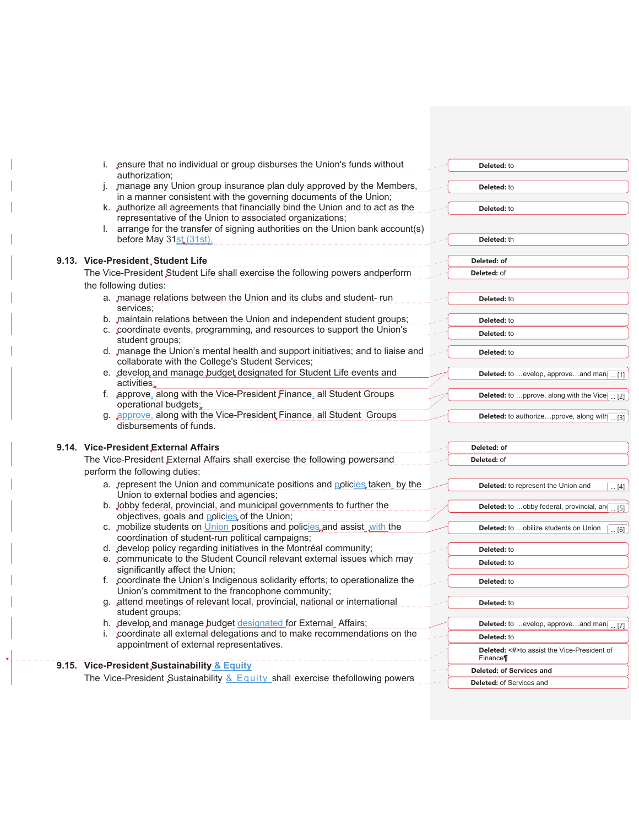| i. ensure that no individual or group disburses the Union's funds without<br>authorization;                                                 | Deleted: to                                                    |
|---------------------------------------------------------------------------------------------------------------------------------------------|----------------------------------------------------------------|
| j. manage any Union group insurance plan duly approved by the Members,<br>in a manner consistent with the governing documents of the Union; | <b>Deleted:</b> to                                             |
| k. authorize all agreements that financially bind the Union and to act as the                                                               | Deleted: to                                                    |
| representative of the Union to associated organizations;<br>I. arrange for the transfer of signing authorities on the Union bank account(s) |                                                                |
| before May 31st (31st).                                                                                                                     | Deleted: th                                                    |
| 9.13. Vice-President, Student Life                                                                                                          | Deleted: of                                                    |
| The Vice-President Student Life shall exercise the following powers andperform                                                              | <b>Deleted: of</b>                                             |
| the following duties:                                                                                                                       |                                                                |
| a. manage relations between the Union and its clubs and student- run<br>services:                                                           | <b>Deleted:</b> to                                             |
| b. maintain relations between the Union and independent student groups;                                                                     | <b>Deleted:</b> to                                             |
| c. coordinate events, programming, and resources to support the Union's<br>student groups;                                                  | <b>Deleted:</b> to                                             |
| d. manage the Union's mental health and support initiatives; and to liaise and<br>collaborate with the College's Student Services;          | <b>Deleted:</b> to                                             |
| e. develop and manage budget designated for Student Life events and<br>activities:                                                          | Deleted: to evelop, approveand man<br>[1]                      |
| f. approve, along with the Vice-President Finance, all Student Groups<br>operational budgets;                                               | <b>Deleted:</b> to  pprove, along with the Vice $\boxed{ [2]}$ |
| g. approve, along with the Vice-President Finance, all Student Groups<br>disbursements of funds.                                            | Deleted: to authorizepprove, along with  [3]                   |
|                                                                                                                                             |                                                                |
| 9.14. Vice-President External Affairs                                                                                                       | Deleted: of                                                    |
| The Vice-President External Affairs shall exercise the following powersand                                                                  | Deleted: of                                                    |
| perform the following duties:                                                                                                               |                                                                |
| a. represent the Union and communicate positions and policies taken_ by the<br>Union to external bodies and agencies;                       | Deleted: to represent the Union and<br>$\ldots$ [4]            |
| b. Jobby federal, provincial, and municipal governments to further the<br>objectives, goals and policies of the Union;                      | Deleted: to obby federal, provincial, an<br>$\ldots$ [5]       |
| c. mobilize students on Union positions and policies, and assist with the<br>coordination of student-run political campaigns;               | Deleted: to  obilize students on Union<br>[6]                  |
| d. develop policy regarding initiatives in the Montréal community;                                                                          | Deleted: to                                                    |
| e. communicate to the Student Council relevant external issues which may<br>significantly affect the Union;                                 | <b>Deleted:</b> to                                             |
| f. coordinate the Union's Indigenous solidarity efforts; to operationalize the<br>Union's commitment to the francophone community;          | <b>Deleted:</b> to                                             |
| g. attend meetings of relevant local, provincial, national or international<br>student groups;                                              | Deleted: to                                                    |
| h. develop and manage budget designated for External Affairs;                                                                               | Deleted: to evelop, approveand man [ [7]                       |
| coordinate all external delegations and to make recommendations on the                                                                      | Deleted: to                                                    |
| appointment of external representatives.                                                                                                    | <b>Deleted:</b> <#>to assist the Vice-President of<br>Finance¶ |
| 9.15. Vice-President, Sustainability & Equity                                                                                               | <b>Deleted: of Services and</b>                                |
| The Vice-President Sustainability & Equity shall exercise thefollowing powers                                                               | <b>Deleted: of Services and</b>                                |

 $\frac{1}{2} \frac{1}{2} \frac{1}{2} \frac{1}{2} \frac{1}{2} \frac{1}{2} \frac{1}{2} \frac{1}{2} \frac{1}{2} \frac{1}{2} \frac{1}{2} \frac{1}{2} \frac{1}{2} \frac{1}{2} \frac{1}{2} \frac{1}{2} \frac{1}{2} \frac{1}{2} \frac{1}{2} \frac{1}{2} \frac{1}{2} \frac{1}{2} \frac{1}{2} \frac{1}{2} \frac{1}{2} \frac{1}{2} \frac{1}{2} \frac{1}{2} \frac{1}{2} \frac{1}{2} \frac{1}{2} \frac{$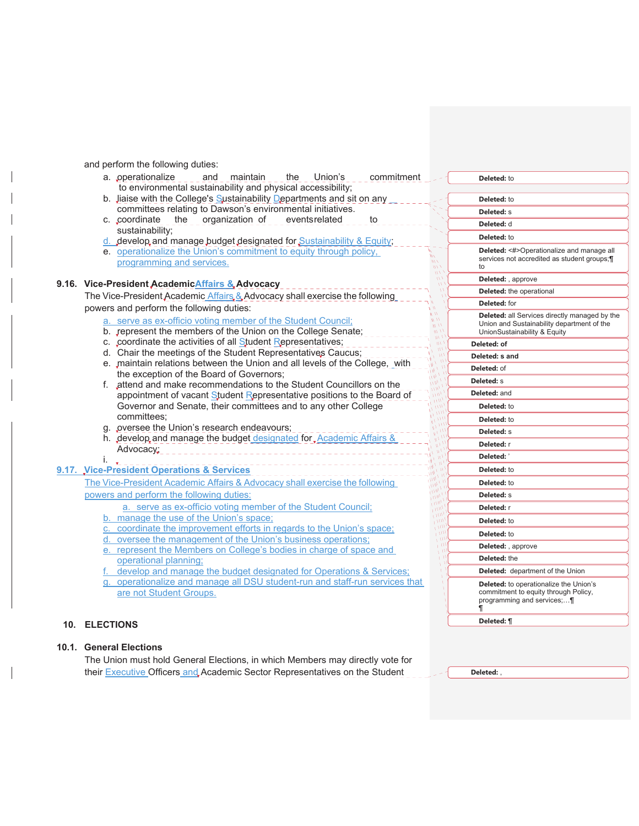and perform the following duties:

- a. operationalize and maintain the Union's commitment to environmental sustainability and physical accessibility;
- b. Jiaise with the College's Sustainability Departments and sit on any committees relating to Dawson's environmental initiatives.
- c. coordinate the organization of events related to sustainability;
- develop and manage budget designated for Sustainability & Equity;
- e. operationalize the Union's commitment to equity through policy,
	- programming and services.

## **9.16. Vice-President AcademicAffairs & Advocacy**

The Vice-President Academic Affairs & Advocacy shall exercise the following powers and perform the following duties:

- a. serve as ex-officio voting member of the Student Council;
- b. represent the members of the Union on the College Senate;
- c. coordinate the activities of all Student Representatives;
- d. Chair the meetings of the Student Representatives Caucus;
- e. maintain relations between the Union and all levels of the College, with the exception of the Board of Governors;
- f. attend and make recommendations to the Student Councillors on the appointment of vacant Student Representative positions to the Board of Governor and Senate, their committees and to any other College committees;
- g. pversee the Union's research endeavours;
- h. develop and manage the budget designated for Academic Affairs Advocacy;

#### i. **9.17. Vice-President Operations & Services**

- The Vice-President Academic Affairs & Advocacy shall exercise the following powers and perform the following duties:
	- a. serve as ex-officio voting member of the Student Council;
	- b. manage the use of the Union's space;
	- c. coordinate the improvement efforts in regards to the Union's space;
	- oversee the management of the Union's business operations;

e. represent the Members on College's bodies in charge of space and operational planning;

develop and manage the budget designated for Operations & Services;

g. operationalize and manage all DSU student-run and staff-run services that are not Student Groups.

#### **10. ELECTIONS**

## **10.1. General Elections**

The Union must hold General Elections, in which Members may directly vote for their **Executive Officers and Academic Sector Representatives on the Student** 

| Deleted: to                                                                                                                        |
|------------------------------------------------------------------------------------------------------------------------------------|
| <b>Deleted:</b> to                                                                                                                 |
| <b>Deleted: s</b>                                                                                                                  |
| Deleted: d                                                                                                                         |
| <b>Deleted:</b> to                                                                                                                 |
| Deleted: <#>Operationalize and manage all<br>services not accredited as student groups;<br>to                                      |
| <b>Deleted:</b> , approve                                                                                                          |
| <b>Deleted:</b> the operational                                                                                                    |
| Deleted: for                                                                                                                       |
| <b>Deleted:</b> all Services directly managed by the<br>Union and Sustainability department of the<br>UnionSustainability & Equity |
| Deleted: of                                                                                                                        |
| Deleted: s and                                                                                                                     |
| Deleted: of                                                                                                                        |
| Deleted: s                                                                                                                         |
| <b>Deleted: and</b>                                                                                                                |
| Deleted: to                                                                                                                        |
| Deleted: to                                                                                                                        |
| Deleted: S                                                                                                                         |
| Deleted: r                                                                                                                         |
| Deleted:                                                                                                                           |
| Deleted: to                                                                                                                        |
| Deleted: to                                                                                                                        |
| <b>Deleted: s</b>                                                                                                                  |
| Deleted: r                                                                                                                         |
| Deleted: to                                                                                                                        |
| Deleted: to                                                                                                                        |
| Deleted: , approve                                                                                                                 |
| Deleted: the                                                                                                                       |
| <b>Deleted:</b> department of the Union                                                                                            |
| <b>Deleted:</b> to operationalize the Union's<br>commitment to equity through Policy,<br>programming and services;¶<br>¶           |
| Deleted: ¶                                                                                                                         |
|                                                                                                                                    |

**Deleted:** ,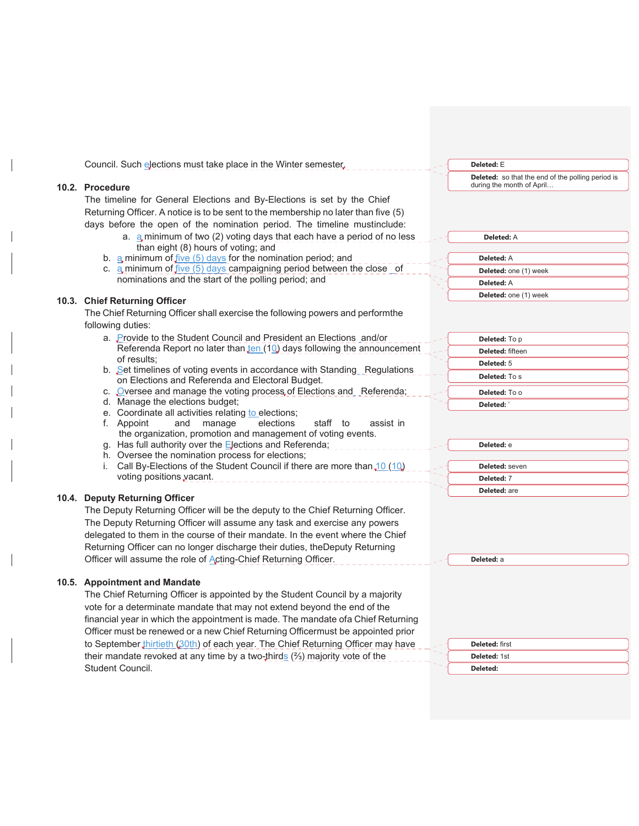| Council. Such elections must take place in the Winter semester.                                                         | Deleted: E                                                                     |
|-------------------------------------------------------------------------------------------------------------------------|--------------------------------------------------------------------------------|
|                                                                                                                         | Deleted: so that the end of the polling period is<br>during the month of April |
| 10.2. Procedure                                                                                                         |                                                                                |
| The timeline for General Elections and By-Elections is set by the Chief                                                 |                                                                                |
| Returning Officer. A notice is to be sent to the membership no later than five (5)                                      |                                                                                |
| days before the open of the nomination period. The timeline mustinclude:                                                |                                                                                |
| a. a minimum of two (2) voting days that each have a period of no less<br>than eight (8) hours of voting; and           | <b>Deleted: A</b>                                                              |
| b. a minimum of $five(5)$ days for the nomination period; and                                                           | Deleted: A                                                                     |
| c. $a$ minimum of $five (5)$ days campaigning period between the close of                                               | Deleted: one (1) week                                                          |
| nominations and the start of the polling period; and                                                                    | Deleted: A                                                                     |
|                                                                                                                         | Deleted: one (1) week                                                          |
| 10.3. Chief Returning Officer                                                                                           |                                                                                |
| The Chief Returning Officer shall exercise the following powers and performthe                                          |                                                                                |
| following duties:                                                                                                       |                                                                                |
| a. Provide to the Student Council and President an Elections and/or                                                     | Deleted: To p                                                                  |
| Referenda Report no later than ten (10) days following the announcement                                                 | Deleted: fifteen                                                               |
| of results:<br>b. Set timelines of voting events in accordance with Standing Regulations                                | Deleted: 5                                                                     |
| on Elections and Referenda and Electoral Budget.                                                                        | Deleted: To s                                                                  |
| c. Oversee and manage the voting process of Elections and Referenda;                                                    | Deleted: To o                                                                  |
| d. Manage the elections budget;                                                                                         | Deleted:                                                                       |
| e. Coordinate all activities relating to elections;                                                                     |                                                                                |
| manage<br>f. Appoint<br>and<br>elections<br>staff to<br>assist in                                                       |                                                                                |
| the organization, promotion and management of voting events.<br>g. Has full authority over the Elections and Referenda; | Deleted: e                                                                     |
| h. Oversee the nomination process for elections;                                                                        |                                                                                |
| i. Call By-Elections of the Student Council if there are more than $10(10)$                                             | Deleted: seven                                                                 |
| voting positions vacant.                                                                                                | Deleted: 7                                                                     |
|                                                                                                                         | Deleted: are                                                                   |
| 10.4. Deputy Returning Officer                                                                                          |                                                                                |
| The Deputy Returning Officer will be the deputy to the Chief Returning Officer.                                         |                                                                                |
| The Deputy Returning Officer will assume any task and exercise any powers                                               |                                                                                |
| delegated to them in the course of their mandate. In the event where the Chief                                          |                                                                                |
| Returning Officer can no longer discharge their duties, theDeputy Returning                                             |                                                                                |
| Officer will assume the role of Acting-Chief Returning Officer.                                                         | Deleted: a                                                                     |
|                                                                                                                         |                                                                                |
| 10.5. Appointment and Mandate                                                                                           |                                                                                |
| The Chief Returning Officer is appointed by the Student Council by a majority                                           |                                                                                |
| vote for a determinate mandate that may not extend beyond the end of the                                                |                                                                                |
| financial year in which the appointment is made. The mandate ofa Chief Returning                                        |                                                                                |
| Officer must be renewed or a new Chief Returning Officermust be appointed prior                                         |                                                                                |
| to September thirtieth (30th) of each year. The Chief Returning Officer may have                                        | Deleted: first                                                                 |
| their mandate revoked at any time by a two-thirds $(2)$ majority vote of the                                            | Deleted: 1st                                                                   |
| Student Council.                                                                                                        | Deleted:                                                                       |
|                                                                                                                         |                                                                                |

 $\overline{a}$ 

 $\overline{\phantom{a}}$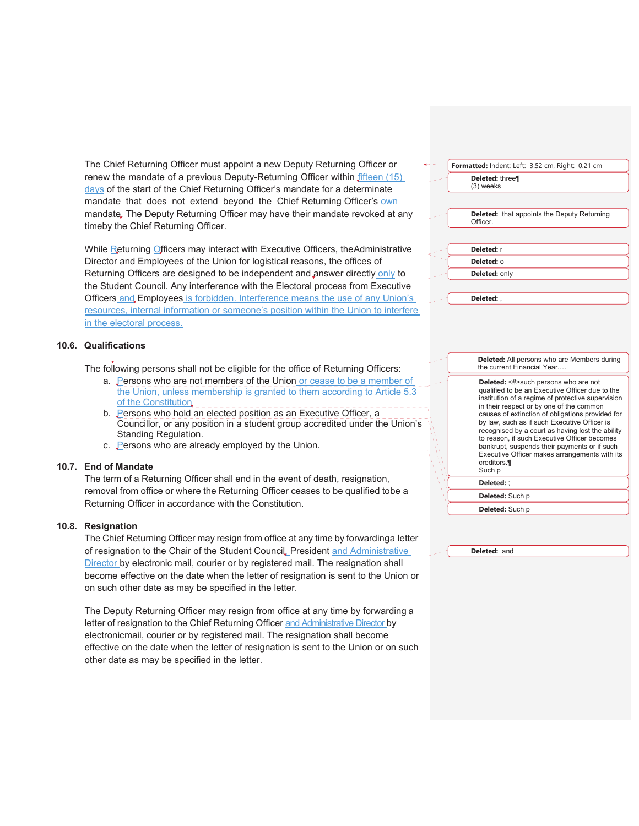The Chief Returning Officer must appoint a new Deputy Returning Officer or renew the mandate of a previous Deputy-Returning Officer within *fifteen* (15) days of the start of the Chief Returning Officer's mandate for a determinate mandate that does not extend beyond the Chief Returning Officer's own mandate. The Deputy Returning Officer may have their mandate revoked at any timeby the Chief Returning Officer.

While Returning Officers may interact with Executive Officers, the Administrative Director and Employees of the Union for logistical reasons, the offices of Returning Officers are designed to be independent and answer directly only to the Student Council. Any interference with the Electoral process from Executive Officers and, Employees is forbidden. Interference means the use of any Union's resources, internal information or someone's position within the Union to interfere in the electoral process.

## **10.6. Qualifications**

The following persons shall not be eligible for the office of Returning Officers:

- a. Persons who are not members of the Union or cease to be a member of the Union, unless membership is granted to them according to Article 5.3 of the Constitution
- b. Persons who hold an elected position as an Executive Officer, a Councillor, or any position in a student group accredited under the Union's Standing Regulation.
- c. Persons who are already employed by the Union.

## **10.7. End of Mandate**

The term of a Returning Officer shall end in the event of death, resignation, removal from office or where the Returning Officer ceases to be qualified tobe a Returning Officer in accordance with the Constitution.

#### **10.8. Resignation**

The Chief Returning Officer may resign from office at any time by forwardinga letter of resignation to the Chair of the Student Council, President and Administrative Director by electronic mail, courier or by registered mail. The resignation shall become effective on the date when the letter of resignation is sent to the Union or on such other date as may be specified in the letter.

The Deputy Returning Officer may resign from office at any time by forwarding a letter of resignation to the Chief Returning Officer and Administrative Director by electronicmail, courier or by registered mail. The resignation shall become effective on the date when the letter of resignation is sent to the Union or on such other date as may be specified in the letter.

## **Formatted:** Indent: Left: 3.52 cm, Right: 0.21 cm

**Deleted:** three¶ (3) weeks

**Deleted:** that appoints the Deputy Returning Officer.

**Deleted:** r **Deleted:** o

**Deleted:** only

**Deleted:** ,

**Deleted:** All persons who are Members during the current Financial Year.…

Deleted: <#>such persons who are not qualified to be an Executive Officer due to the institution of a regime of protective supervision in their respect or by one of the common causes of extinction of obligations provided for by law, such as if such Executive Officer is recognised by a court as having lost the ability to reason, if such Executive Officer becomes bankrupt, suspends their payments or if such Executive Officer makes arrangements with its creditors.¶ Such p **Deleted:** ;

**Deleted:** Such p

**Deleted:** Such p

**Deleted:** and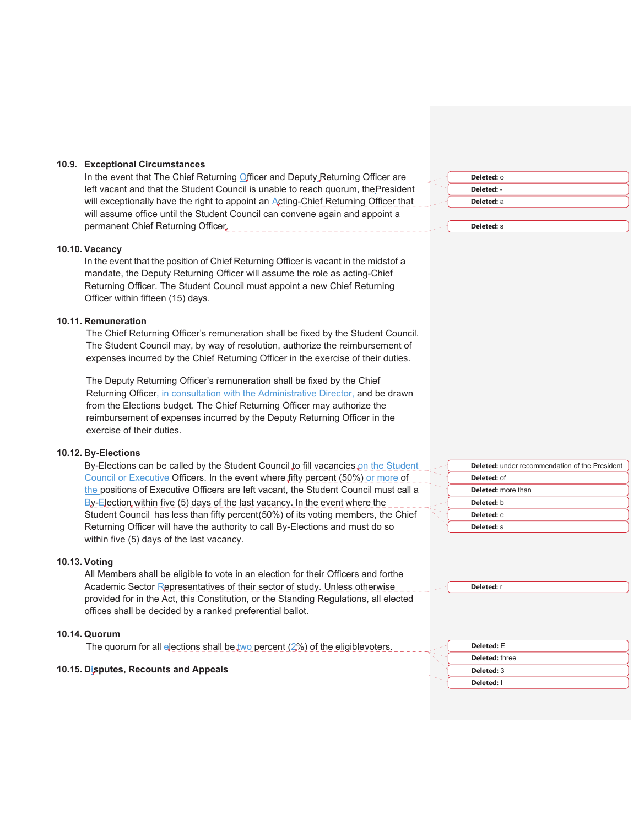#### **10.9. Exceptional Circumstances**

In the event that The Chief Returning Officer and Deputy Returning Officer are left vacant and that the Student Council is unable to reach quorum, the President will exceptionally have the right to appoint an Acting-Chief Returning Officer that will assume office until the Student Council can convene again and appoint a permanent Chief Returning Officer.

#### **10.10. Vacancy**

In the event that the position of Chief Returning Officer is vacant in the midstof a mandate, the Deputy Returning Officer will assume the role as acting-Chief Returning Officer. The Student Council must appoint a new Chief Returning Officer within fifteen (15) days.

#### **10.11. Remuneration**

The Chief Returning Officer's remuneration shall be fixed by the Student Council. The Student Council may, by way of resolution, authorize the reimbursement of expenses incurred by the Chief Returning Officer in the exercise of their duties.

The Deputy Returning Officer's remuneration shall be fixed by the Chief Returning Officer, in consultation with the Administrative Director, and be drawn from the Elections budget. The Chief Returning Officer may authorize the reimbursement of expenses incurred by the Deputy Returning Officer in the exercise of their duties.

#### **10.12. By-Elections**

By-Elections can be called by the Student Council to fill vacancies on the Student Council or Executive Officers. In the event where fifty percent (50%) or more of the positions of Executive Officers are left vacant, the Student Council must call a By-Election within five (5) days of the last vacancy. In the event where the Student Council has less than fifty percent (50%) of its voting members, the Chief Returning Officer will have the authority to call By-Elections and must do so within five (5) days of the last vacancy.

#### **10.13. Voting**

All Members shall be eligible to vote in an election for their Officers and forthe Academic Sector Representatives of their sector of study. Unless otherwise provided for in the Act, this Constitution, or the Standing Regulations, all elected offices shall be decided by a ranked preferential ballot.

#### **10.14. Quorum**

| The quorum for all elections shall be two percent $(2%)$ of the eligiblevoters. | Deleted: E     |
|---------------------------------------------------------------------------------|----------------|
|                                                                                 | Deleted: three |
| 10.15. Disputes, Recounts and Appeals                                           | Deleted: 3     |

| Deleted: 0 |  |
|------------|--|
| Deleted: - |  |
| Deleted: a |  |
|            |  |

**Deleted:** s

| <b>Deleted:</b> under recommendation of the President |
|-------------------------------------------------------|
| Deleted: of                                           |
| <b>Deleted:</b> more than                             |
| Deleted: b                                            |
| Deleted: e                                            |
| Deleted: S                                            |

**Deleted:** r

**Deleted:** 3 **Deleted: I**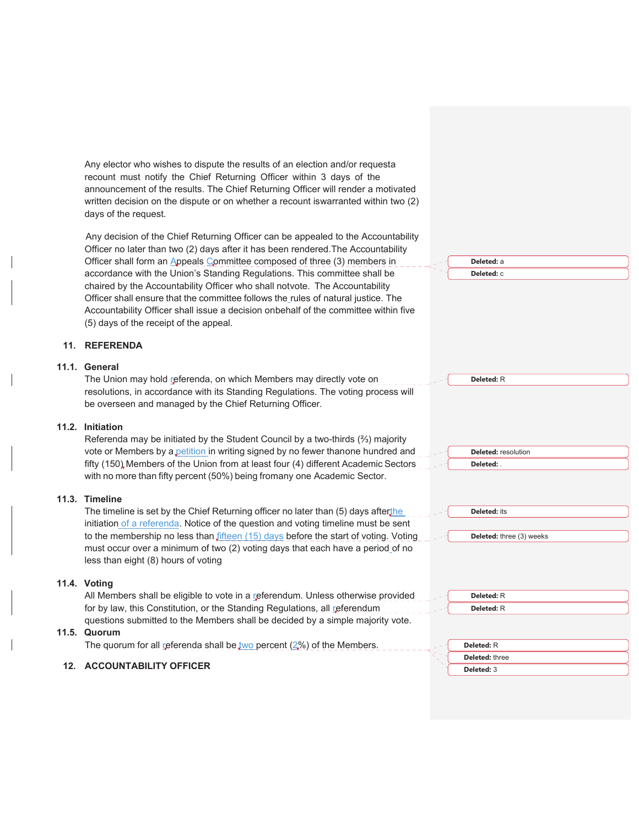Any elector who wishes to dispute the results of an election and/or requesta recount must notify the Chief Returning Officer within 3 days of the announcement of the results. The Chief Returning Officer will render a motivated written decision on the dispute or on whether a recount is warranted within two (2) days of the request. Any decision of the Chief Returning Officer can be appealed to the Accountability Officer no later than two (2) days after it has been rendered. The Accountability Officer shall form an Appeals Committee composed of three (3) members in accordance with the Union's Standing Regulations. This committee shall be chaired by the Accountability Officer who shall notvote. The Accountability Officer shall ensure that the committee follows the rules of natural justice. The Accountability Officer shall issue a decision on behalf of the committee within five (5) days of the receipt of the appeal. **11. REFERENDA 11.1. General** The Union may hold referenda, on which Members may directly vote on resolutions, in accordance with its Standing Regulations. The voting process will be overseen and managed by the Chief Returning Officer. **11.2. Initiation** Referenda may be initiated by the Student Council by a two-thirds  $(2/3)$  majority vote or Members by a petition in writing signed by no fewer than one hundred and fifty (150) Members of the Union from at least four (4) different Academic Sectors with no more than fifty percent (50%) being fromany one Academic Sector. **11.3. Timeline** The timeline is set by the Chief Returning officer no later than (5) days afterthe initiation of a referenda. Notice of the question and voting timeline must be sent to the membership no less than  $f$  *fifteen*  $(15)$  days before the start of voting. Voting must occur over a minimum of two (2) voting days that each have a period of no less than eight (8) hours of voting **11.4. Voting** All Members shall be eligible to vote in a referendum. Unless otherwise provided for by law, this Constitution, or the Standing Regulations, all referendum questions submitted to the Members shall be decided by a simple majority vote. **11.5. Quorum** The quorum for all referenda shall be two percent  $(2%)$  of the Members. **12. ACCOUNTABILITY OFFICER Deleted:** a **Deleted:** c **Deleted:** R **Deleted:** resolution **Deleted:** . **Deleted:** its **Deleted:** three (3) weeks **Deleted:** R **Deleted:** R **Deleted:** R **Deleted:** three **Deleted:** 3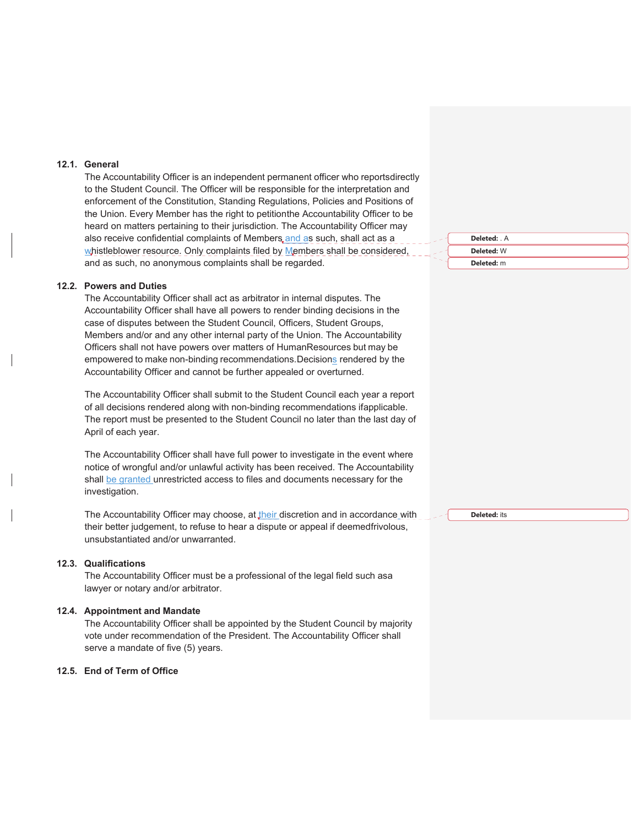#### **12.1. General**

The Accountability Officer is an independent permanent officer who reports directly to the Student Council. The Officer will be responsible for the interpretation and enforcement of the Constitution, Standing Regulations, Policies and Positions of the Union. Every Member has the right to petitionthe Accountability Officer to be heard on matters pertaining to their jurisdiction. The Accountability Officer may also receive confidential complaints of Members, and as such, shall act as a whistleblower resource. Only complaints filed by Members shall be considered, and as such, no anonymous complaints shall be regarded.

#### **12.2. Powers and Duties**

The Accountability Officer shall act as arbitrator in internal disputes. The Accountability Officer shall have all powers to render binding decisions in the case of disputes between the Student Council, Officers, Student Groups, Members and/or and any other internal party of the Union. The Accountability Officers shall not have powers over matters of Human Resources but may be empowered to make non-binding recommendations. Decisions rendered by the Accountability Officer and cannot be further appealed or overturned.

The Accountability Officer shall submit to the Student Council each year a report of all decisions rendered along with non-binding recommendations if applicable. The report must be presented to the Student Council no later than the last day of April of each year.

The Accountability Officer shall have full power to investigate in the event where notice of wrongful and/or unlawful activity has been received. The Accountability shall be granted unrestricted access to files and documents necessary for the investigation.

The Accountability Officer may choose, at their discretion and in accordance with their better judgement, to refuse to hear a dispute or appeal if deemedfrivolous, unsubstantiated and/or unwarranted.

#### **12.3. Qualifications**

The Accountability Officer must be a professional of the legal field such asa lawyer or notary and/or arbitrator.

## **12.4. Appointment and Mandate**

The Accountability Officer shall be appointed by the Student Council by majority vote under recommendation of the President. The Accountability Officer shall serve a mandate of five (5) years.

## **12.5. End of Term of Office**

**Deleted:** . A **Deleted:** W **Deleted:** m

**Deleted:** its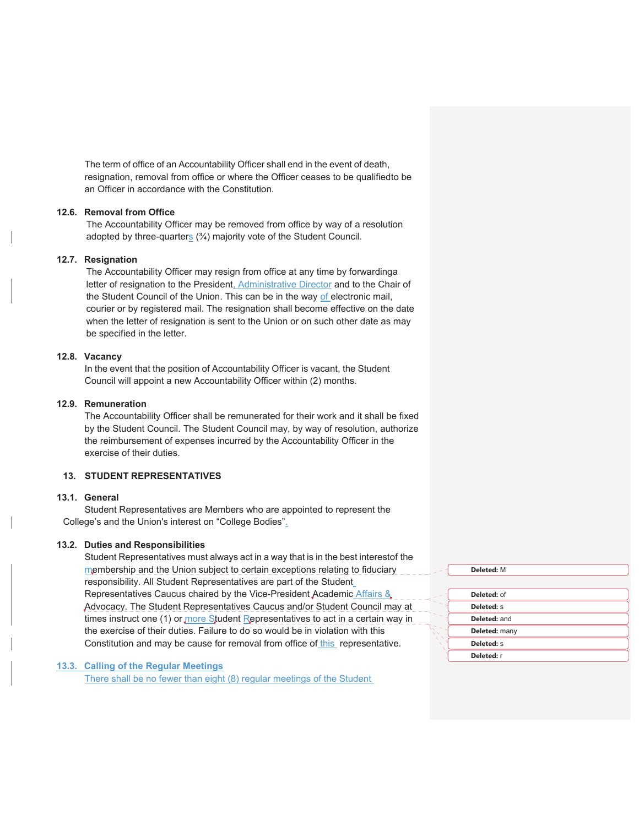The term of office of an Accountability Officer shall end in the event of death, resignation, removal from office or where the Officer ceases to be qualified to be an Officer in accordance with the Constitution.

#### **12.6. Removal from Office**

The Accountability Officer may be removed from office by way of a resolution adopted by three-quarters (¾) majority vote of the Student Council.

### **12.7. Resignation**

The Accountability Officer may resign from office at any time by forwarding a letter of resignation to the President, Administrative Director and to the Chair of the Student Council of the Union. This can be in the way of electronic mail, courier or by registered mail. The resignation shall become effective on the date when the letter of resignation is sent to the Union or on such other date as may be specified in the letter.

## **12.8. Vacancy**

In the event that the position of Accountability Officer is vacant, the Student Council will appoint a new Accountability Officer within (2) months.

### **12.9. Remuneration**

The Accountability Officer shall be remunerated for their work and it shall be fixed by the Student Council. The Student Council may, by way of resolution, authorize the reimbursement of expenses incurred by the Accountability Officer in the exercise of their duties.

#### **13. STUDENT REPRESENTATIVES**

#### **13.1. General**

Student Representatives are Members who are appointed to represent the College's and the Union's interest on "College Bodies".

## **13.2. Duties and Responsibilities**

Student Representatives must always act in a way that is in the best interestof the membership and the Union subject to certain exceptions relating to fiduciary responsibility. All Student Representatives are part of the Student Representatives Caucus chaired by the Vice-President Academic Affairs & Advocacy. The Student Representatives Caucus and/or Student Council may at times instruct one (1) or more Student Representatives to act in a certain way in the exercise of their duties. Failure to do so would be in violation with this Constitution and may be cause for removal from office of this representative.

## **13.3. Calling of the Regular Meetings**

There shall be no fewer than eight (8) regular meetings of the Student

| Deleted: M    |  |
|---------------|--|
|               |  |
| Deleted: of   |  |
| Deleted: S    |  |
| Deleted: and  |  |
| Deleted: many |  |
| Deleted: S    |  |
| Deleted: r    |  |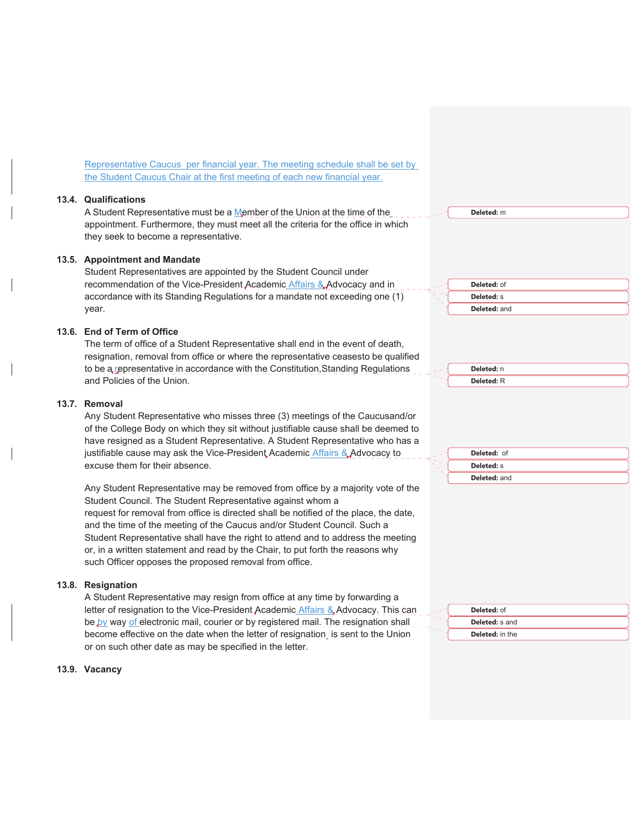Representative Caucus per financial year. The meeting schedule shall be set by the Student Caucus Chair at the first meeting of each new financial year.

#### **13.4. Qualifications**

A Student Representative must be a Member of the Union at the time of the appointment. Furthermore, they must meet all the criteria for the office in which they seek to become a representative.

#### **13.5. Appointment and Mandate**

Student Representatives are appointed by the Student Council under recommendation of the Vice-President Academic Affairs & Advocacy and in accordance with its Standing Regulations for a mandate not exceeding one (1) year.

#### **13.6. End of Term of Office**

The term of office of a Student Representative shall end in the event of death, resignation, removal from office or where the representative ceasesto be qualified to be a representative in accordance with the Constitution, Standing Regulations and Policies of the Union.

#### **13.7. Removal**

Any Student Representative who misses three (3) meetings of the Caucus and/or of the College Body on which they sit without justifiable cause shall be deemed to have resigned as a Student Representative. A Student Representative who has a justifiable cause may ask the Vice-President Academic Affairs & Advocacy to excuse them for their absence.

Any Student Representative may be removed from office by a majority vote of the Student Council. The Student Representative against whom a request for removal from office is directed shall be notified of the place, the date, and the time of the meeting of the Caucus and/or Student Council. Such a Student Representative shall have the right to attend and to address the meeting or, in a written statement and read by the Chair, to put forth the reasons why such Officer opposes the proposed removal from office.

#### **13.8. Resignation**

A Student Representative may resign from office at any time by forwarding a letter of resignation to the Vice-President Academic Affairs & Advocacy. This can be by way of electronic mail, courier or by registered mail. The resignation shall become effective on the date when the letter of resignation is sent to the Union or on such other date as may be specified in the letter.

#### **13.9. Vacancy**





**Deleted:** m



| <b>Deleted: of</b>    |
|-----------------------|
| <b>Deleted:</b> s and |
| Deleted: in the       |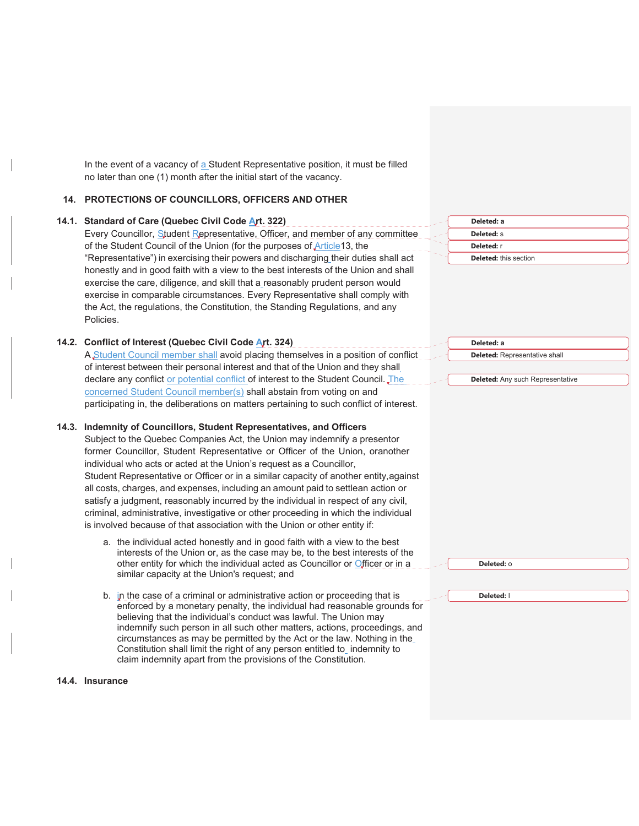In the event of a vacancy of a Student Representative position, it must be filled no later than one (1) month after the initial start of the vacancy.

#### **14. PROTECTIONS OF COUNCILLORS, OFFICERS AND OTHER**

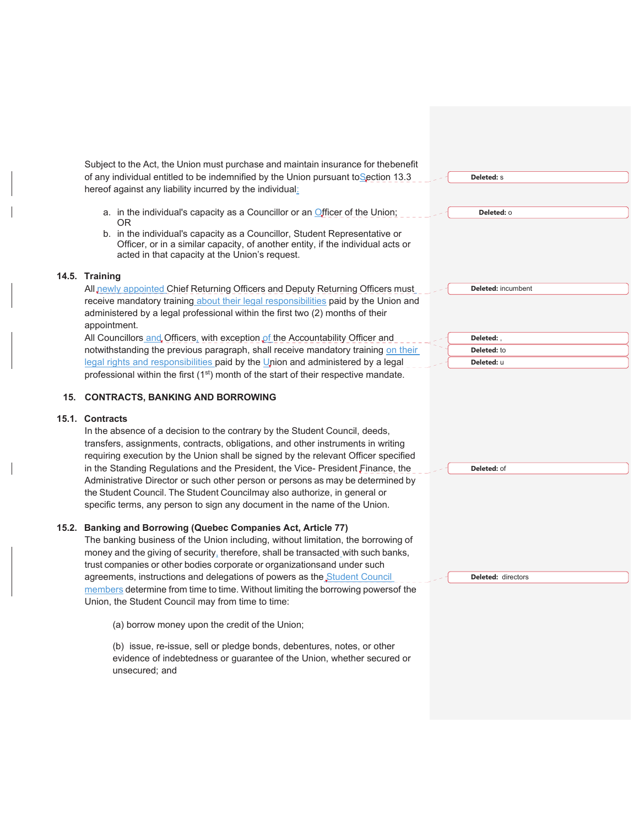|     | Subject to the Act, the Union must purchase and maintain insurance for thebenefit                                                                                    |                           |
|-----|----------------------------------------------------------------------------------------------------------------------------------------------------------------------|---------------------------|
|     | of any individual entitled to be indemnified by the Union pursuant to Section 13.3                                                                                   | Deleted: s                |
|     | hereof against any liability incurred by the individual:                                                                                                             |                           |
|     |                                                                                                                                                                      |                           |
|     | a. in the individual's capacity as a Councillor or an Officer of the Union;                                                                                          | Deleted: 0                |
|     | 0 <sub>R</sub>                                                                                                                                                       |                           |
|     | b. in the individual's capacity as a Councillor, Student Representative or<br>Officer, or in a similar capacity, of another entity, if the individual acts or        |                           |
|     | acted in that capacity at the Union's request.                                                                                                                       |                           |
|     |                                                                                                                                                                      |                           |
|     | 14.5. Training                                                                                                                                                       |                           |
|     | All newly appointed Chief Returning Officers and Deputy Returning Officers must                                                                                      | <b>Deleted:</b> incumbent |
|     | receive mandatory training about their legal responsibilities paid by the Union and                                                                                  |                           |
|     | administered by a legal professional within the first two (2) months of their                                                                                        |                           |
|     | appointment.                                                                                                                                                         |                           |
|     | All Councillors and Officers, with exception of the Accountability Officer and                                                                                       | Deleted:,                 |
|     | notwithstanding the previous paragraph, shall receive mandatory training on their<br>legal rights and responsibilities paid by the Union and administered by a legal | Deleted: to               |
|     | professional within the first (1 <sup>st</sup> ) month of the start of their respective mandate.                                                                     | Deleted: u                |
|     |                                                                                                                                                                      |                           |
| 15. | <b>CONTRACTS, BANKING AND BORROWING</b>                                                                                                                              |                           |
|     |                                                                                                                                                                      |                           |
|     |                                                                                                                                                                      |                           |
|     | 15.1. Contracts                                                                                                                                                      |                           |
|     | In the absence of a decision to the contrary by the Student Council, deeds,                                                                                          |                           |
|     | transfers, assignments, contracts, obligations, and other instruments in writing                                                                                     |                           |
|     | requiring execution by the Union shall be signed by the relevant Officer specified                                                                                   |                           |
|     | in the Standing Regulations and the President, the Vice- President Finance, the                                                                                      | Deleted: of               |
|     | Administrative Director or such other person or persons as may be determined by                                                                                      |                           |
|     | the Student Council. The Student Councilmay also authorize, in general or                                                                                            |                           |
|     | specific terms, any person to sign any document in the name of the Union.                                                                                            |                           |
|     | 15.2. Banking and Borrowing (Quebec Companies Act, Article 77)                                                                                                       |                           |
|     | The banking business of the Union including, without limitation, the borrowing of                                                                                    |                           |
|     | money and the giving of security, therefore, shall be transacted with such banks,                                                                                    |                           |
|     | trust companies or other bodies corporate or organizationsand under such                                                                                             |                           |
|     | agreements, instructions and delegations of powers as the Student Council                                                                                            | <b>Deleted: directors</b> |
|     | members determine from time to time. Without limiting the borrowing powersof the                                                                                     |                           |
|     | Union, the Student Council may from time to time:                                                                                                                    |                           |
|     | (a) borrow money upon the credit of the Union;                                                                                                                       |                           |
|     |                                                                                                                                                                      |                           |
|     | (b) issue, re-issue, sell or pledge bonds, debentures, notes, or other                                                                                               |                           |
|     | evidence of indebtedness or guarantee of the Union, whether secured or                                                                                               |                           |
|     | unsecured; and                                                                                                                                                       |                           |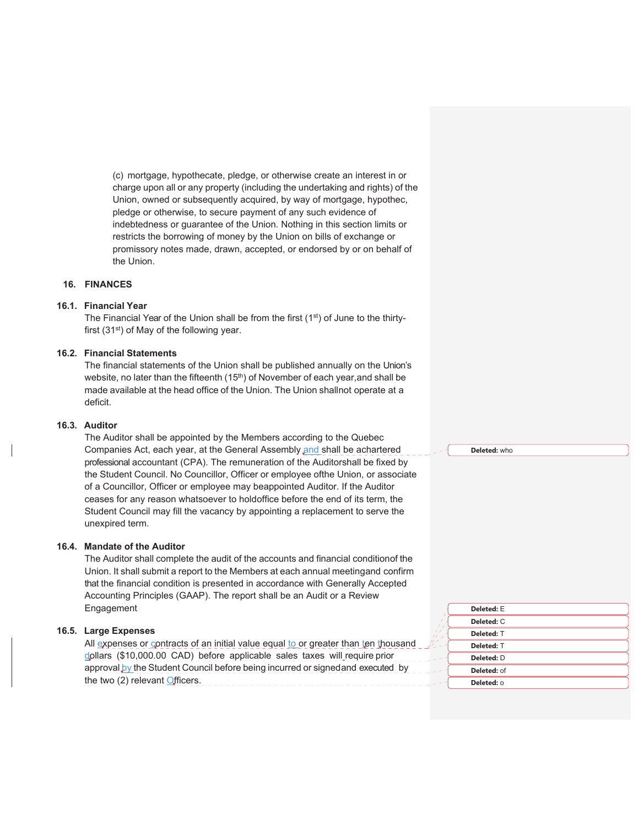(c) mortgage, hypothecate, pledge, or otherwise create an interest in or charge upon all or any property (including the undertaking and rights) of the Union, owned or subsequently acquired, by way of mortgage, hypothec, pledge or otherwise, to secure payment of any such evidence of indebtedness or guarantee of the Union. Nothing in this section limits or restricts the borrowing of money by the Union on bills of exchange or promissory notes made, drawn, accepted, or endorsed by or on behalf of the Union.

#### **16. FINANCES**

#### **16.1. Financial Year**

The Financial Year of the Union shall be from the first (1<sup>st</sup>) of June to the thirtyfirst  $(31<sup>st</sup>)$  of May of the following year.

#### **16.2. Financial Statements**

The financial statements of the Union shall be published annually on the Union's website, no later than the fifteenth  $(15<sup>th</sup>)$  of November of each year, and shall be made available at the head office of the Union. The Union shallnot operate at a deficit.

#### **16.3. Auditor**

The Auditor shall be appointed by the Members according to the Quebec Companies Act, each year, at the General Assembly and shall be achartered professional accountant (CPA). The remuneration of the Auditorshall be fixed by the Student Council. No Councillor, Officer or employee ofthe Union, or associate of a Councillor, Officer or employee may be appointed Auditor. If the Auditor ceases for any reason whatsoever to hold office before the end of its term, the Student Council may fill the vacancy by appointing a replacement to serve the unexpired term.

#### **16.4. Mandate of the Auditor**

The Auditor shall complete the audit of the accounts and financial condition of the Union. It shall submit a report to the Members at each annual meeting and confirm that the financial condition is presented in accordance with Generally Accepted Accounting Principles (GAAP). The report shall be an Audit or a Review Engagement

#### **16.5. Large Expenses**

All expenses or contracts of an initial value equal to or greater than ten thousand dollars (\$10,000.00 CAD) before applicable sales taxes will require prior approval by the Student Council before being incurred or signed and executed by the two (2) relevant Officers.

**Deleted:** who

| Deleted: E  |
|-------------|
| Deleted: C  |
| Deleted: T  |
| Deleted: T  |
| Deleted: D  |
| Deleted: of |
| Deleted: 0  |
|             |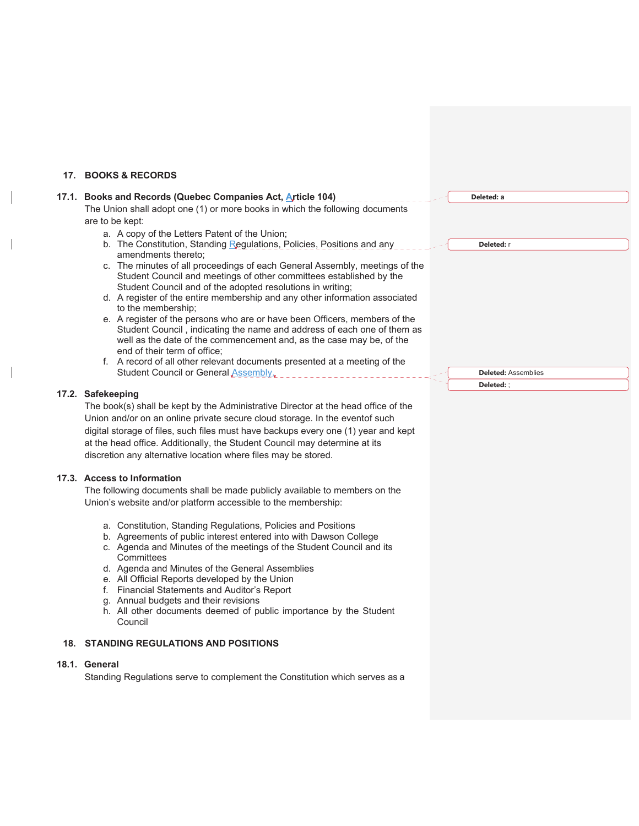## **17. BOOKS & RECORDS**

 $\overline{\phantom{a}}$ 

 $\overline{\phantom{a}}$ 

 $\overline{\phantom{a}}$ 

| 17.1. Books and Records (Quebec Companies Act, Article 104)                                                                                                                                                                                                                                                                                                                                                                                                                                                                                                                                                                                                                                                                                                                                                                                                                                                                                                      | Deleted: a                               |
|------------------------------------------------------------------------------------------------------------------------------------------------------------------------------------------------------------------------------------------------------------------------------------------------------------------------------------------------------------------------------------------------------------------------------------------------------------------------------------------------------------------------------------------------------------------------------------------------------------------------------------------------------------------------------------------------------------------------------------------------------------------------------------------------------------------------------------------------------------------------------------------------------------------------------------------------------------------|------------------------------------------|
| The Union shall adopt one (1) or more books in which the following documents<br>are to be kept:<br>a. A copy of the Letters Patent of the Union;<br>b. The Constitution, Standing Regulations, Policies, Positions and any<br>amendments thereto;<br>c. The minutes of all proceedings of each General Assembly, meetings of the<br>Student Council and meetings of other committees established by the<br>Student Council and of the adopted resolutions in writing;<br>d. A register of the entire membership and any other information associated<br>to the membership;<br>e. A register of the persons who are or have been Officers, members of the<br>Student Council, indicating the name and address of each one of them as<br>well as the date of the commencement and, as the case may be, of the<br>end of their term of office;<br>f. A record of all other relevant documents presented at a meeting of the<br>Student Council or General Assembly, | Deleted: r<br><b>Deleted: Assemblies</b> |
|                                                                                                                                                                                                                                                                                                                                                                                                                                                                                                                                                                                                                                                                                                                                                                                                                                                                                                                                                                  | Deleted: ;                               |
| 17.2. Safekeeping<br>The book(s) shall be kept by the Administrative Director at the head office of the<br>Union and/or on an online private secure cloud storage. In the eventof such<br>digital storage of files, such files must have backups every one (1) year and kept<br>at the head office. Additionally, the Student Council may determine at its<br>discretion any alternative location where files may be stored.                                                                                                                                                                                                                                                                                                                                                                                                                                                                                                                                     |                                          |
| 17.3. Access to Information<br>The following documents shall be made publicly available to members on the<br>Union's website and/or platform accessible to the membership:<br>a. Constitution, Standing Regulations, Policies and Positions<br>b. Agreements of public interest entered into with Dawson College<br>c. Agenda and Minutes of the meetings of the Student Council and its<br>Committees<br>d. Agenda and Minutes of the General Assemblies<br>e. All Official Reports developed by the Union<br>f. Financial Statements and Auditor's Report<br>g. Annual budgets and their revisions<br>h. All other documents deemed of public importance by the Student<br>Council                                                                                                                                                                                                                                                                             |                                          |
| 18. STANDING REGULATIONS AND POSITIONS                                                                                                                                                                                                                                                                                                                                                                                                                                                                                                                                                                                                                                                                                                                                                                                                                                                                                                                           |                                          |
| 18.1. General<br>Standing Regulations serve to complement the Constitution which serves as a                                                                                                                                                                                                                                                                                                                                                                                                                                                                                                                                                                                                                                                                                                                                                                                                                                                                     |                                          |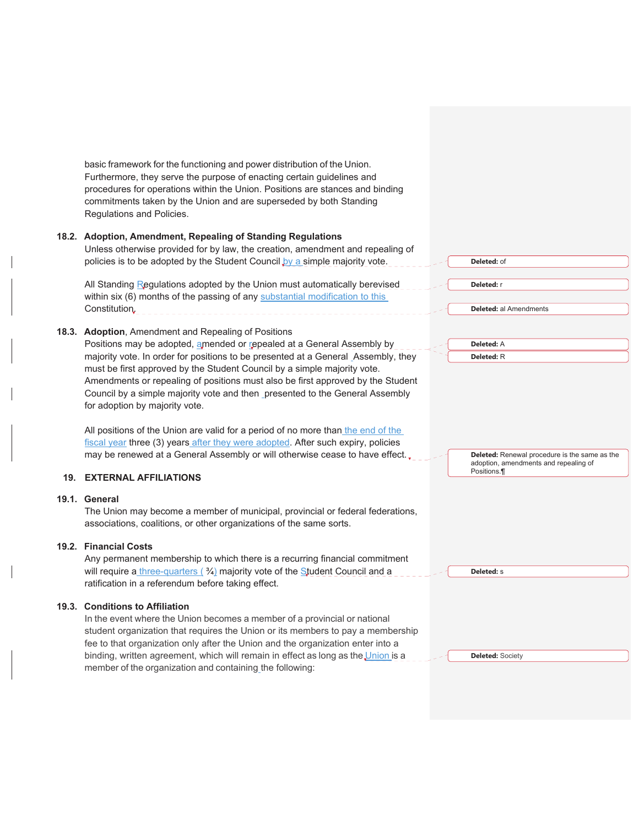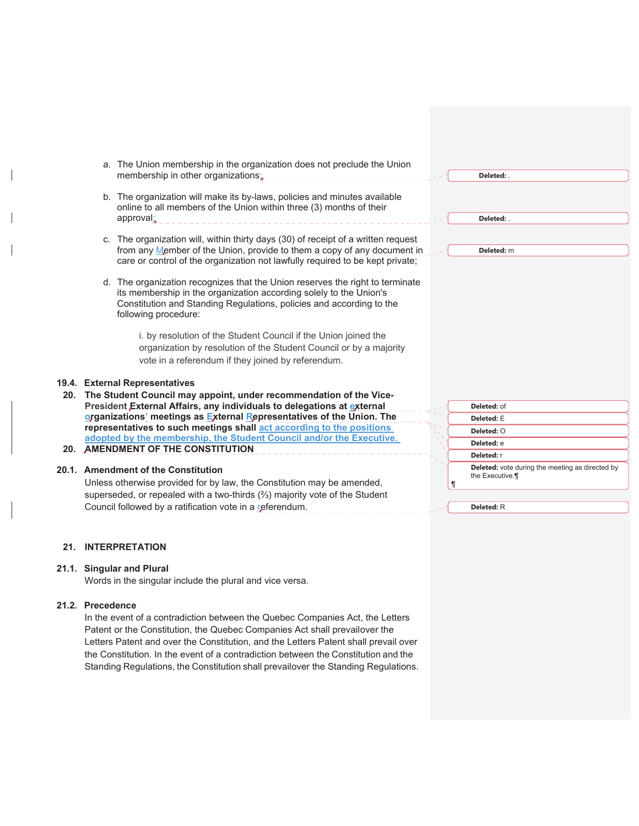|  | a. The Union membership in the organization does not preclude the Union<br>membership in other organizations:                                    |   | Deleted: .                                      |
|--|--------------------------------------------------------------------------------------------------------------------------------------------------|---|-------------------------------------------------|
|  | b. The organization will make its by-laws, policies and minutes available<br>online to all members of the Union within three (3) months of their |   |                                                 |
|  | approval:                                                                                                                                        |   | Deleted:                                        |
|  | c. The organization will, within thirty days (30) of receipt of a written request                                                                |   |                                                 |
|  | from any Member of the Union, provide to them a copy of any document in                                                                          |   | Deleted: m                                      |
|  | care or control of the organization not lawfully required to be kept private;                                                                    |   |                                                 |
|  | d. The organization recognizes that the Union reserves the right to terminate                                                                    |   |                                                 |
|  | its membership in the organization according solely to the Union's                                                                               |   |                                                 |
|  | Constitution and Standing Regulations, policies and according to the                                                                             |   |                                                 |
|  | following procedure:                                                                                                                             |   |                                                 |
|  | i. by resolution of the Student Council if the Union joined the                                                                                  |   |                                                 |
|  | organization by resolution of the Student Council or by a majority                                                                               |   |                                                 |
|  | vote in a referendum if they joined by referendum.                                                                                               |   |                                                 |
|  |                                                                                                                                                  |   |                                                 |
|  | 9.4. External Representatives                                                                                                                    |   |                                                 |
|  | 20. The Student Council may appoint, under recommendation of the Vice-                                                                           |   |                                                 |
|  | President External Affairs, any individuals to delegations at external                                                                           |   | Deleted: of                                     |
|  | organizations' meetings as External Representatives of the Union. The                                                                            |   | Deleted: E                                      |
|  | representatives to such meetings shall act according to the positions                                                                            |   | Deleted: O                                      |
|  | adopted by the membership, the Student Council and/or the Executive.<br>20. AMENDMENT OF THE CONSTITUTION                                        |   | Deleted: e                                      |
|  |                                                                                                                                                  |   | Deleted: r                                      |
|  | 0.1. Amendment of the Constitution                                                                                                               |   | Deleted: vote during the meeting as directed by |
|  | Unless otherwise provided for by law, the Constitution may be amended,                                                                           | П | the Executive.                                  |
|  | superseded, or repealed with a two-thirds (%) majority vote of the Student                                                                       |   |                                                 |
|  | Council followed by a ratification vote in a referendum.                                                                                         |   | Deleted: R                                      |

#### **21. INTERPRETATION**

#### **21.1. Singular and Plural**

Words in the singular include the plural and vice versa.

## **21.2. Precedence**

**19.4.** 

**20.1.** 

In the event of a contradiction between the Quebec Companies Act, the Letters Patent or the Constitution, the Quebec Companies Act shall prevailover the Letters Patent and over the Constitution, and the Letters Patent shall prevail over the Constitution. In the event of a contradiction between the Constitution and the Standing Regulations, the Constitution shall prevailover the Standing Regulations.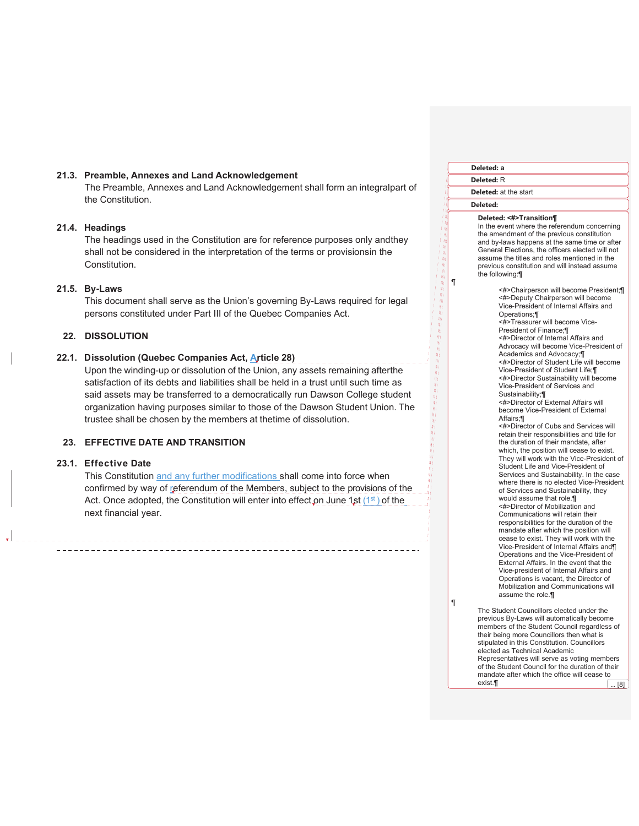#### **21.3. Preamble, Annexes and Land Acknowledgement**

The Preamble, Annexes and Land Acknowledgement shall form an integralpart of the Constitution.

#### **21.4. Headings**

The headings used in the Constitution are for reference purposes only andthey shall not be considered in the interpretation of the terms or provisionsin the Constitution.

#### **21.5. By-Laws**

This document shall serve as the Union's governing By-Laws required for legal persons constituted under Part III of the Quebec Companies Act.

#### **22. DISSOLUTION**

## **22.1. Dissolution (Quebec Companies Act, Article 28)**

Upon the winding-up or dissolution of the Union, any assets remaining afterthe satisfaction of its debts and liabilities shall be held in a trust until such time as said assets may be transferred to a democratically run Dawson College student organization having purposes similar to those of the Dawson Student Union. The trustee shall be chosen by the members at the time of dissolution.

#### **23. EFFECTIVE DATE AND TRANSITION**

#### **23.1. Effective Date**

This Constitution and any further modifications shall come into force when confirmed by way of referendum of the Members, subject to the provisions of the Act. Once adopted, the Constitution will enter into effect on June 1st  $(1<sup>st</sup>)$  of the next financial year.

| Deleted: a                                                                                                                                                                                                                                                                                                                                                                                                                                                                                                                                                                                                                                                                                                                                                                                                                                                                                                                                                                                                                                                                                                                                                                                                                                                                                                                                                                                                                                                                                                  |  |  |  |  |
|-------------------------------------------------------------------------------------------------------------------------------------------------------------------------------------------------------------------------------------------------------------------------------------------------------------------------------------------------------------------------------------------------------------------------------------------------------------------------------------------------------------------------------------------------------------------------------------------------------------------------------------------------------------------------------------------------------------------------------------------------------------------------------------------------------------------------------------------------------------------------------------------------------------------------------------------------------------------------------------------------------------------------------------------------------------------------------------------------------------------------------------------------------------------------------------------------------------------------------------------------------------------------------------------------------------------------------------------------------------------------------------------------------------------------------------------------------------------------------------------------------------|--|--|--|--|
| <b>Deleted: R</b>                                                                                                                                                                                                                                                                                                                                                                                                                                                                                                                                                                                                                                                                                                                                                                                                                                                                                                                                                                                                                                                                                                                                                                                                                                                                                                                                                                                                                                                                                           |  |  |  |  |
| Deleted: at the start                                                                                                                                                                                                                                                                                                                                                                                                                                                                                                                                                                                                                                                                                                                                                                                                                                                                                                                                                                                                                                                                                                                                                                                                                                                                                                                                                                                                                                                                                       |  |  |  |  |
| Deleted:                                                                                                                                                                                                                                                                                                                                                                                                                                                                                                                                                                                                                                                                                                                                                                                                                                                                                                                                                                                                                                                                                                                                                                                                                                                                                                                                                                                                                                                                                                    |  |  |  |  |
| Deleted: <#>Transition¶<br>In the event where the referendum concerning<br>the amendment of the previous constitution<br>and by-laws happens at the same time or after<br>General Elections, the officers elected will not<br>assume the titles and roles mentioned in the<br>previous constitution and will instead assume<br>the following:¶                                                                                                                                                                                                                                                                                                                                                                                                                                                                                                                                                                                                                                                                                                                                                                                                                                                                                                                                                                                                                                                                                                                                                              |  |  |  |  |
| <#>Chairperson will become President;¶<br><#>Deputy Chairperson will become<br>Vice-President of Internal Affairs and<br>Operations:¶<br><#>Treasurer will become Vice-<br>President of Finance: II<br><#>Director of Internal Affairs and<br>Advocacy will become Vice-President of<br>Academics and Advocacy;¶<br><#>Director of Student Life will become<br>Vice-President of Student Life: II<br><#>Director Sustainability will become<br>Vice-President of Services and<br>Sustainability;¶<br><#>Director of External Affairs will<br>become Vice-President of External<br>Affairs;¶<br><#>Director of Cubs and Services will<br>retain their responsibilities and title for<br>the duration of their mandate, after<br>which, the position will cease to exist.<br>They will work with the Vice-President of<br>Student Life and Vice-President of<br>Services and Sustainability. In the case<br>where there is no elected Vice-President<br>of Services and Sustainability, they<br>would assume that role.¶<br><#>Director of Mobilization and<br>Communications will retain their<br>responsibilities for the duration of the<br>mandate after which the position will<br>cease to exist. They will work with the<br>Vice-President of Internal Affairs and¶<br>Operations and the Vice-President of<br>External Affairs. In the event that the<br>Vice-president of Internal Affairs and<br>Operations is vacant, the Director of<br>Mobilization and Communications will<br>assume the role.¶ |  |  |  |  |
| The Student Councillors elected under the<br>previous By-Laws will automatically become                                                                                                                                                                                                                                                                                                                                                                                                                                                                                                                                                                                                                                                                                                                                                                                                                                                                                                                                                                                                                                                                                                                                                                                                                                                                                                                                                                                                                     |  |  |  |  |

¶

¶

members of the Student Council regardless of their being more Councillors then what is stipulated in this Constitution. Councillors elected as Technical Academic Representatives will serve as voting members of the Student Council for the duration of their mandate after which the office will cease to exist. $\blacksquare$  ... [8]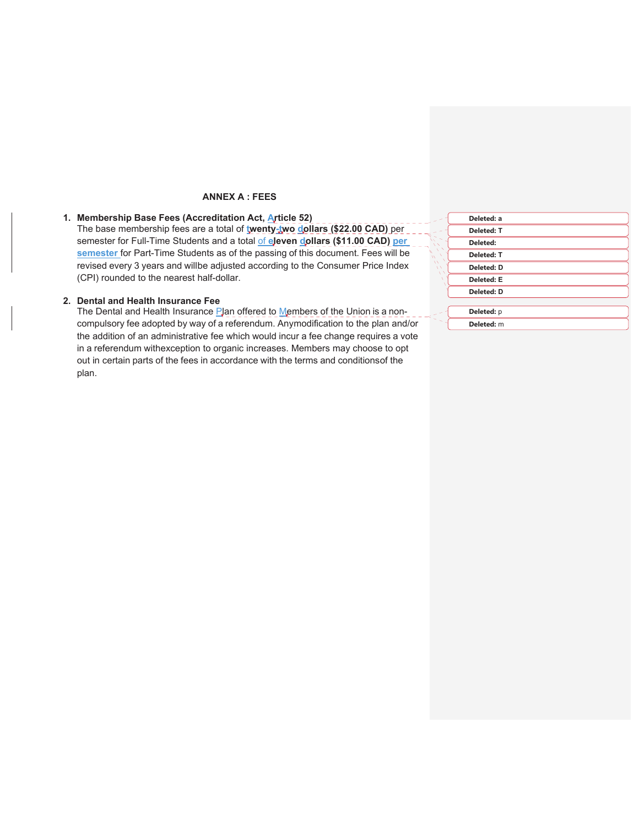## **ANNEX A : FEES**

# **1. Membership Base Fees (Accreditation Act, Article 52)**

The base membership fees are a total of **twenty-two dollars (\$22.00 CAD)** per semester for Full-Time Students and a total of **eleven dollars (\$11.00 CAD) per semester** for Part-Time Students as of the passing of this document. Fees will be revised every 3 years and willbe adjusted according to the Consumer Price Index (CPI) rounded to the nearest half-dollar.

#### **2. Dental and Health Insurance Fee**

The Dental and Health Insurance Plan offered to Members of the Union is a noncompulsory fee adopted by way of a referendum. Any modification to the plan and/or the addition of an administrative fee which would incur a fee change requires a vote in a referendum with exception to organic increases. Members may choose to opt out in certain parts of the fees in accordance with the terms and conditions of the plan.

|          | Deleted: a        |  |
|----------|-------------------|--|
|          | <b>Deleted: T</b> |  |
| Deleted: |                   |  |
|          | <b>Deleted: T</b> |  |
|          | <b>Deleted: D</b> |  |
|          | <b>Deleted: E</b> |  |
|          | <b>Deleted: D</b> |  |
|          |                   |  |
|          | Deleted: p        |  |
|          | Deleted: m        |  |
|          |                   |  |